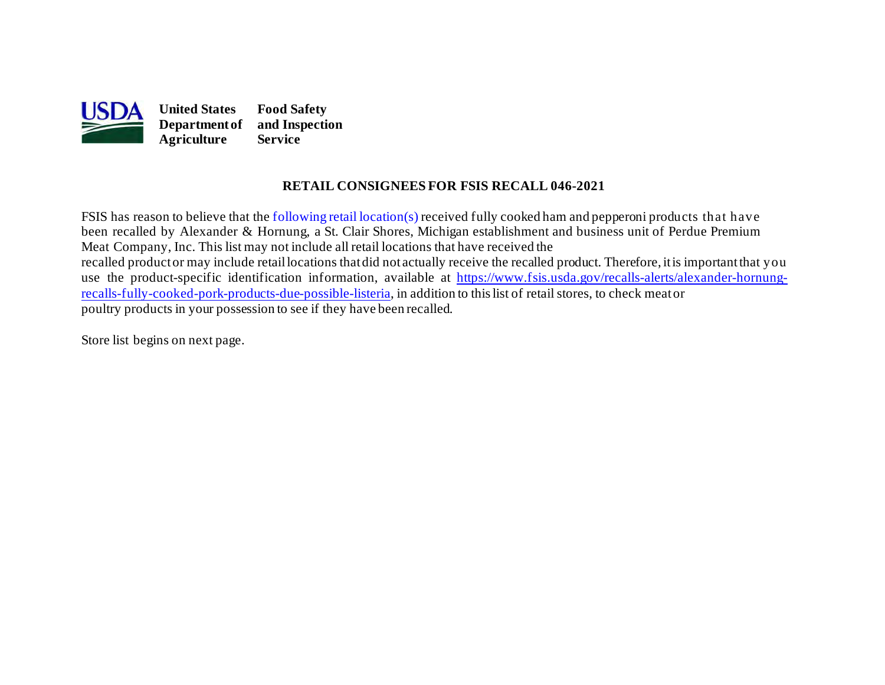

#### **RETAIL CONSIGNEES FOR FSIS RECALL 046-2021**

 been recalled by Alexander & Hornung, a St. Clair Shores, Michigan establishment and business unit of Perdue Premium Meat Company, Inc. This list may not include all retail locations that have received the recalled productor may include retaillocations thatdid not actually receive the recalled product. Therefore, itis importantthat you [recalls-fully-cooked-pork-products-due-possible-listeria](https://www.fsis.usda.gov/recalls-alerts/alexander-hornung-recalls-fully-cooked-pork-products-due-possible-listeria), in addition to this list of retail stores, to check meator FSIS has reason to believe that the [following retail location\(s\)](#page-1-0) received fully cooked ham and pepperoni products that have use the product-specific identification information, available at [https://www.fsis.usda.gov/recalls-alerts/alexander-hornung](https://www.fsis.usda.gov/recalls-alerts/alexander-hornung-recalls-fully-cooked-pork-products-due-possible-listeria)poultry products in your possession to see if they have been recalled.

Store list begins on [next page.](#page-1-0)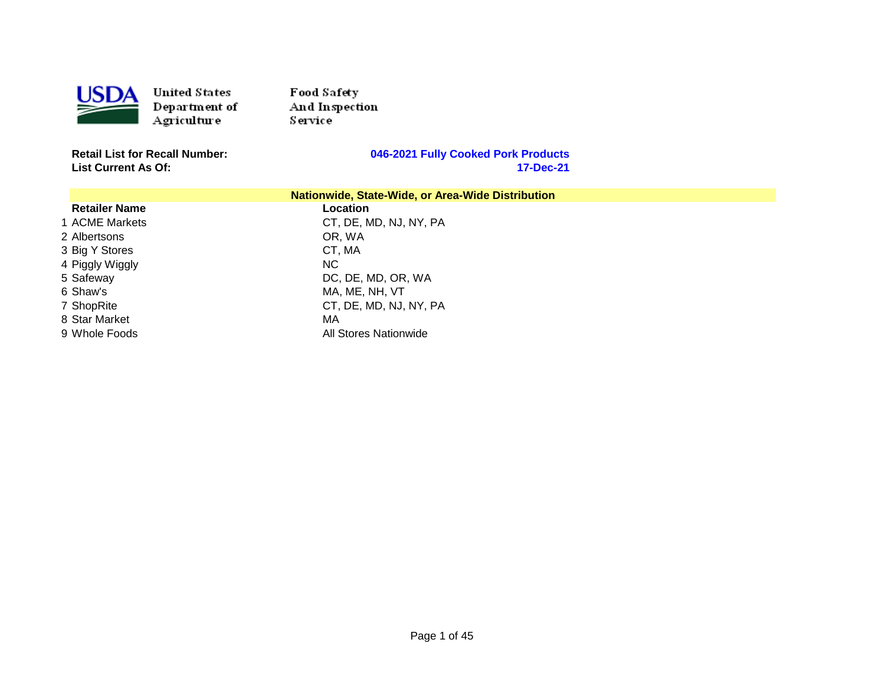<span id="page-1-0"></span>

Food Safety And Inspection Service

**List Current As Of:** 

| Nationwide, State-Wide, or Area-Wide Distribution |                        |  |
|---------------------------------------------------|------------------------|--|
| <b>Retailer Name</b>                              | Location               |  |
| 1 ACME Markets                                    | CT, DE, MD, NJ, NY, PA |  |
| 2 Albertsons                                      | OR. WA                 |  |
| 3 Big Y Stores                                    | CT, MA                 |  |
| 4 Piggly Wiggly                                   | NC.                    |  |
| 5 Safeway                                         | DC, DE, MD, OR, WA     |  |
| 6 Shaw's                                          | MA, ME, NH, VT         |  |
| 7 ShopRite                                        | CT, DE, MD, NJ, NY, PA |  |
| 8 Star Market                                     | МA                     |  |
| 9 Whole Foods                                     | All Stores Nationwide  |  |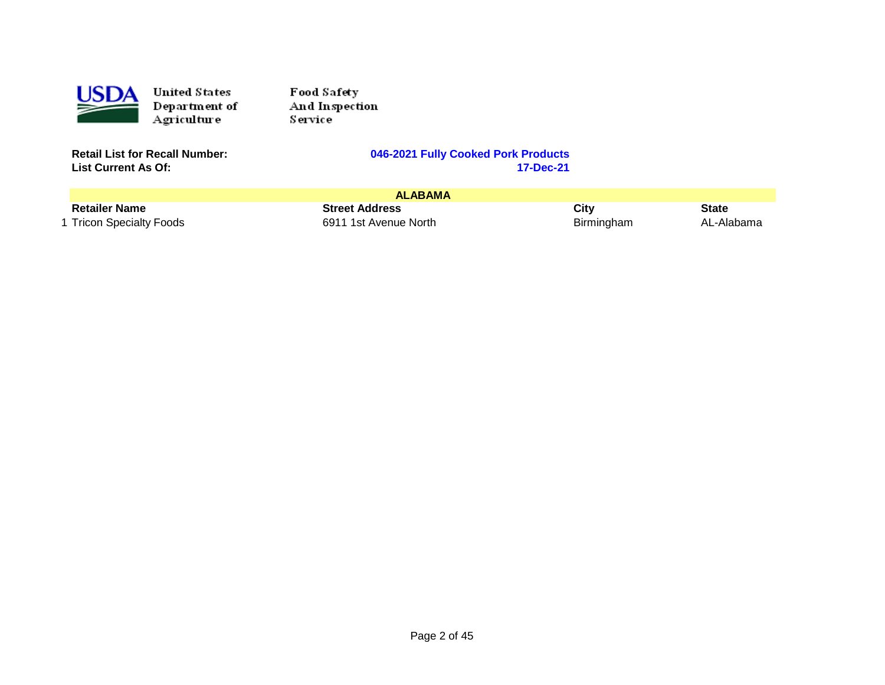

Food Sa fety And Inspection Service

**List Current As Of:** 

|                          | <b>ALABAMA</b>        |            |            |
|--------------------------|-----------------------|------------|------------|
| <b>Retailer Name</b>     | <b>Street Address</b> | City       | State      |
| 1 Tricon Specialty Foods | 6911 1st Avenue North | Birmingham | AL-Alabama |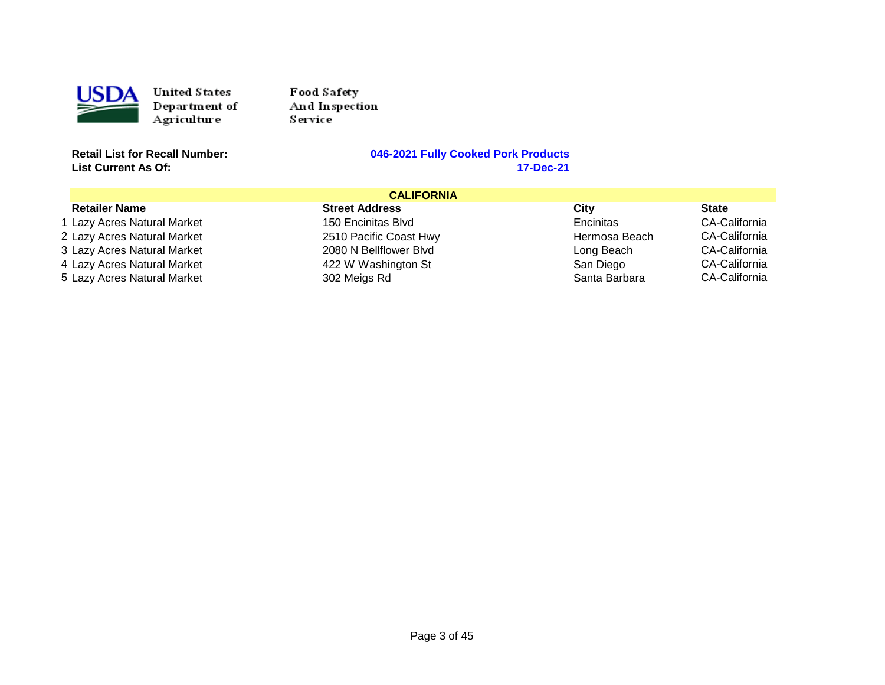

Food Safety And Inspection Service<sup>1</sup>

**List Current As Of:** 

# **Retailly Cooked Pork Products**<br>17-Dec-21

| <b>CALIFORNIA</b>           |                        |               |                      |
|-----------------------------|------------------------|---------------|----------------------|
| <b>Retailer Name</b>        | <b>Street Address</b>  | City          | <b>State</b>         |
| 1 Lazy Acres Natural Market | 150 Encinitas Blvd     | Encinitas     | CA-California        |
| 2 Lazy Acres Natural Market | 2510 Pacific Coast Hwy | Hermosa Beach | CA-California        |
| 3 Lazy Acres Natural Market | 2080 N Bellflower Blvd | Long Beach    | CA-California        |
| 4 Lazy Acres Natural Market | 422 W Washington St    | San Diego     | <b>CA-California</b> |
| 5 Lazy Acres Natural Market | 302 Meigs Rd           | Santa Barbara | <b>CA-California</b> |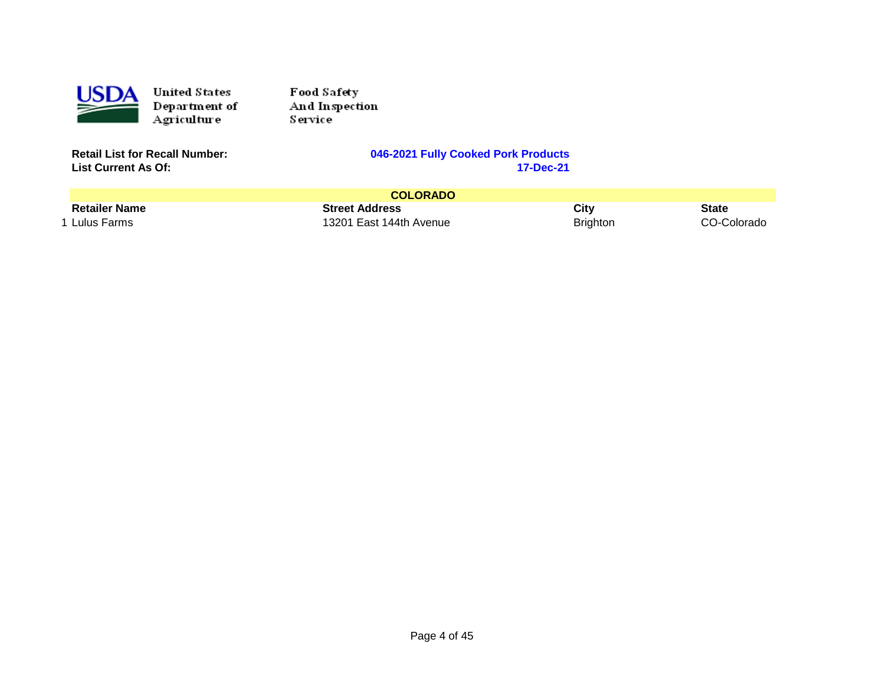

Food Sa fety And Inspection Service

**List Current As Of:** 

|                      | <b>COLORADO</b>         |                 |             |
|----------------------|-------------------------|-----------------|-------------|
| <b>Retailer Name</b> | <b>Street Address</b>   | City            | State       |
| 1 Lulus Farms        | 13201 East 144th Avenue | <b>Brighton</b> | CO-Colorado |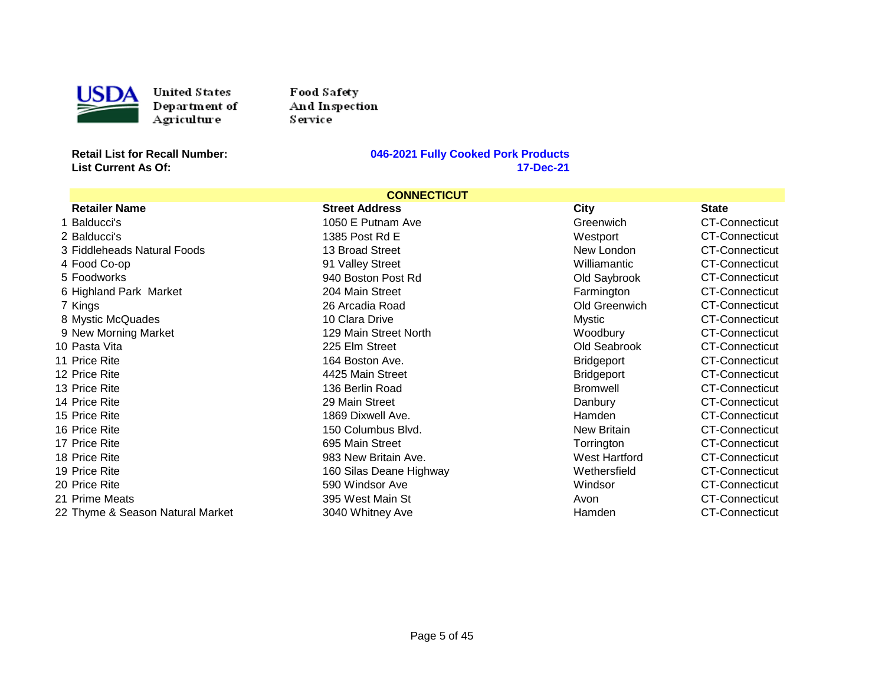

USDA United States<br>
Department of<br>
Agriculture<br>
Retail List for Recall Number: United States Department of **Agriculture** 

Food Safety And Inspection Service

**List Current As Of:** 

| <b>CONNECTICUT</b>               |                         |                   |                       |
|----------------------------------|-------------------------|-------------------|-----------------------|
| <b>Retailer Name</b>             | <b>Street Address</b>   | <b>City</b>       | <b>State</b>          |
| Balducci's                       | 1050 E Putnam Ave       | Greenwich         | CT-Connecticut        |
| 2 Balducci's                     | 1385 Post Rd E          | Westport          | <b>CT-Connecticut</b> |
| 3 Fiddleheads Natural Foods      | 13 Broad Street         | New London        | <b>CT-Connecticut</b> |
| 4 Food Co-op                     | 91 Valley Street        | Williamantic      | CT-Connecticut        |
| 5 Foodworks                      | 940 Boston Post Rd      | Old Saybrook      | CT-Connecticut        |
| 6 Highland Park Market           | 204 Main Street         | Farmington        | <b>CT-Connecticut</b> |
| 7 Kings                          | 26 Arcadia Road         | Old Greenwich     | CT-Connecticut        |
| 8 Mystic McQuades                | 10 Clara Drive          | Mystic            | <b>CT-Connecticut</b> |
| 9 New Morning Market             | 129 Main Street North   | Woodbury          | <b>CT-Connecticut</b> |
| 10 Pasta Vita                    | 225 Elm Street          | Old Seabrook      | CT-Connecticut        |
| 11 Price Rite                    | 164 Boston Ave.         | <b>Bridgeport</b> | <b>CT-Connecticut</b> |
| 12 Price Rite                    | 4425 Main Street        | <b>Bridgeport</b> | CT-Connecticut        |
| 13 Price Rite                    | 136 Berlin Road         | <b>Bromwell</b>   | <b>CT-Connecticut</b> |
| 14 Price Rite                    | 29 Main Street          | Danbury           | CT-Connecticut        |
| 15 Price Rite                    | 1869 Dixwell Ave.       | Hamden            | <b>CT-Connecticut</b> |
| 16 Price Rite                    | 150 Columbus Blvd.      | New Britain       | CT-Connecticut        |
| 17 Price Rite                    | 695 Main Street         | Torrington        | <b>CT-Connecticut</b> |
| 18 Price Rite                    | 983 New Britain Ave.    | West Hartford     | CT-Connecticut        |
| 19 Price Rite                    | 160 Silas Deane Highway | Wethersfield      | CT-Connecticut        |
| 20 Price Rite                    | 590 Windsor Ave         | Windsor           | <b>CT-Connecticut</b> |
| 21 Prime Meats                   | 395 West Main St        | Avon              | <b>CT-Connecticut</b> |
| 22 Thyme & Season Natural Market | 3040 Whitney Ave        | Hamden            | <b>CT-Connecticut</b> |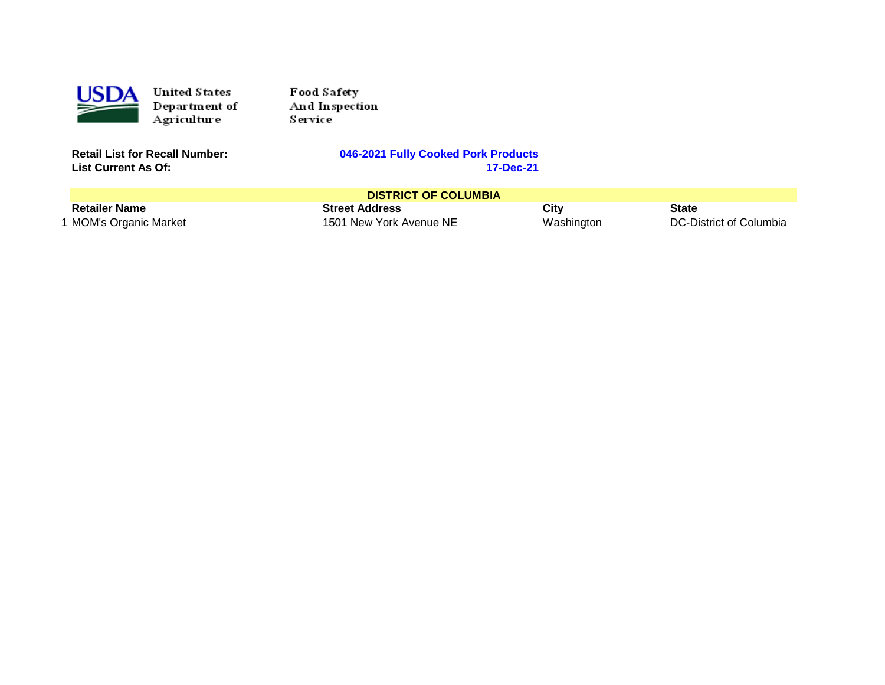

Food Safety And Inspection Service<sup>1</sup>

**List Current As Of:** 

#### **Retail Cooked Pork Products**<br>17-Dec-21

| <b>DISTRICT OF COLUMBIA</b> |                         |            |                         |
|-----------------------------|-------------------------|------------|-------------------------|
| <b>Retailer Name</b>        | <b>Street Address</b>   | City       | <b>State</b>            |
| 1 MOM's Organic Market      | 1501 New York Avenue NE | Washington | DC-District of Columbia |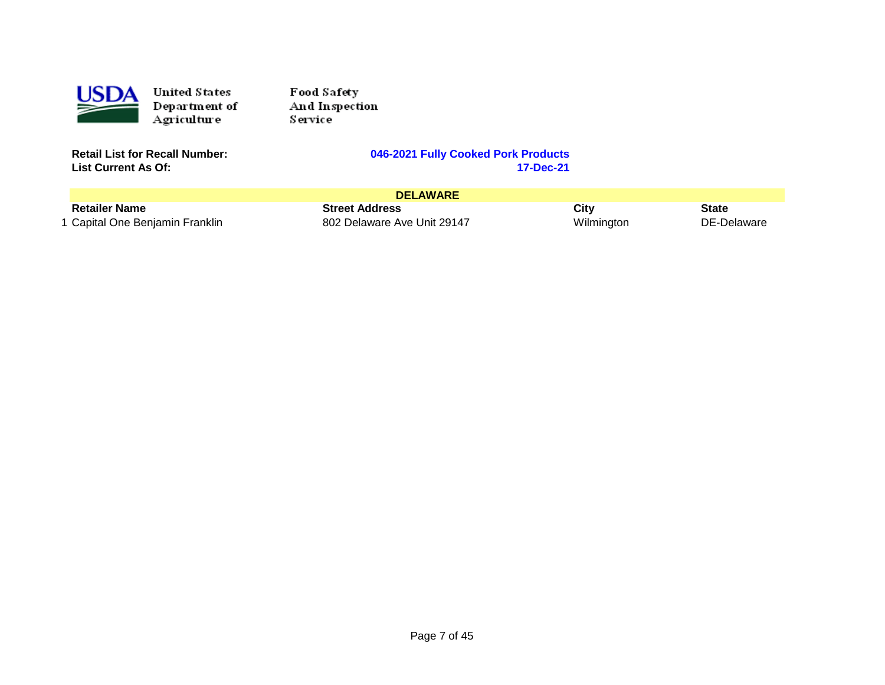

Food Sa fety And Inspection Service

**List Current As Of:** 

| <b>DELAWARE</b>                 |                             |            |              |
|---------------------------------|-----------------------------|------------|--------------|
| <b>Retailer Name</b>            | <b>Street Address</b>       | City       | <b>State</b> |
| 1 Capital One Benjamin Franklin | 802 Delaware Ave Unit 29147 | Wilmington | DE-Delaware  |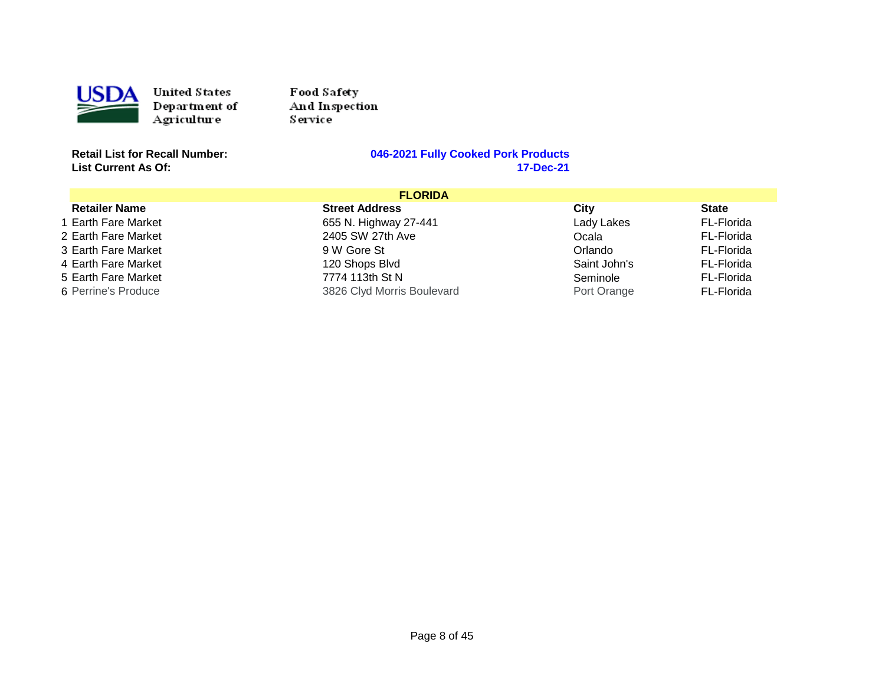

Food Safety And Inspection Service<sup>1</sup>

**List Current As Of:** 

| <b>FLORIDA</b>       |                            |              |              |
|----------------------|----------------------------|--------------|--------------|
| <b>Retailer Name</b> | <b>Street Address</b>      | City         | <b>State</b> |
| 1 Earth Fare Market  | 655 N. Highway 27-441      | Lady Lakes   | FL-Florida   |
| 2 Earth Fare Market  | 2405 SW 27th Ave           | Ocala        | FL-Florida   |
| 3 Earth Fare Market  | 9 W Gore St                | Orlando      | FL-Florida   |
| 4 Earth Fare Market  | 120 Shops Blvd             | Saint John's | FL-Florida   |
| 5 Earth Fare Market  | 7774 113th St N            | Seminole     | FL-Florida   |
| 6 Perrine's Produce  | 3826 Clyd Morris Boulevard | Port Orange  | FL-Florida   |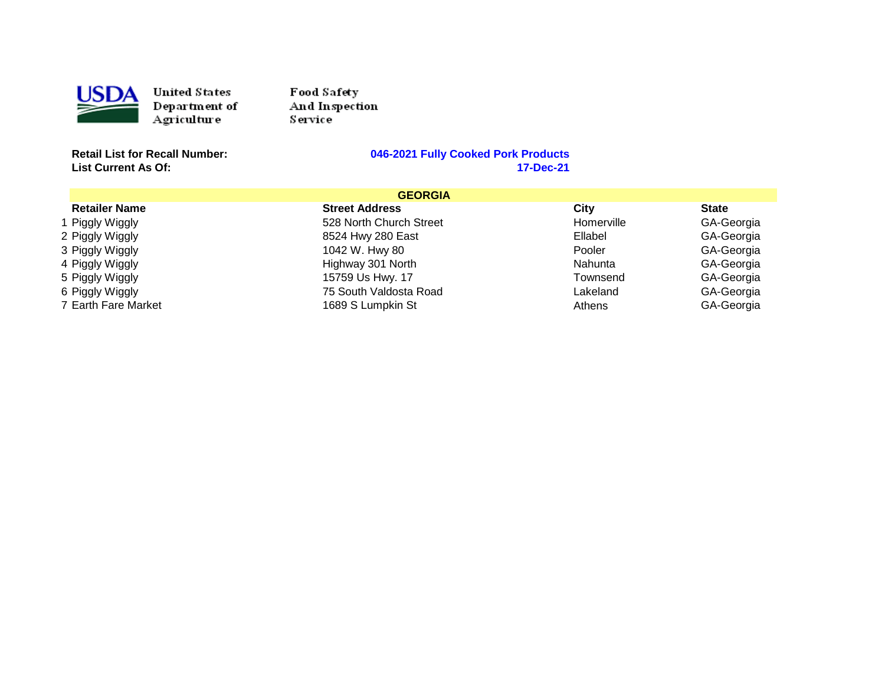

Food Sa fety And Inspection Service

**List Current As Of:** 

| <b>GEORGIA</b>       |                         |            |              |
|----------------------|-------------------------|------------|--------------|
| <b>Retailer Name</b> | <b>Street Address</b>   | City       | <b>State</b> |
| 1 Piggly Wiggly      | 528 North Church Street | Homerville | GA-Georgia   |
| 2 Piggly Wiggly      | 8524 Hwy 280 East       | Ellabel    | GA-Georgia   |
| 3 Piggly Wiggly      | 1042 W. Hwy 80          | Pooler     | GA-Georgia   |
| 4 Piggly Wiggly      | Highway 301 North       | Nahunta    | GA-Georgia   |
| 5 Piggly Wiggly      | 15759 Us Hwy. 17        | Townsend   | GA-Georgia   |
| 6 Piggly Wiggly      | 75 South Valdosta Road  | Lakeland   | GA-Georgia   |
| 7 Earth Fare Market  | 1689 S Lumpkin St       | Athens     | GA-Georgia   |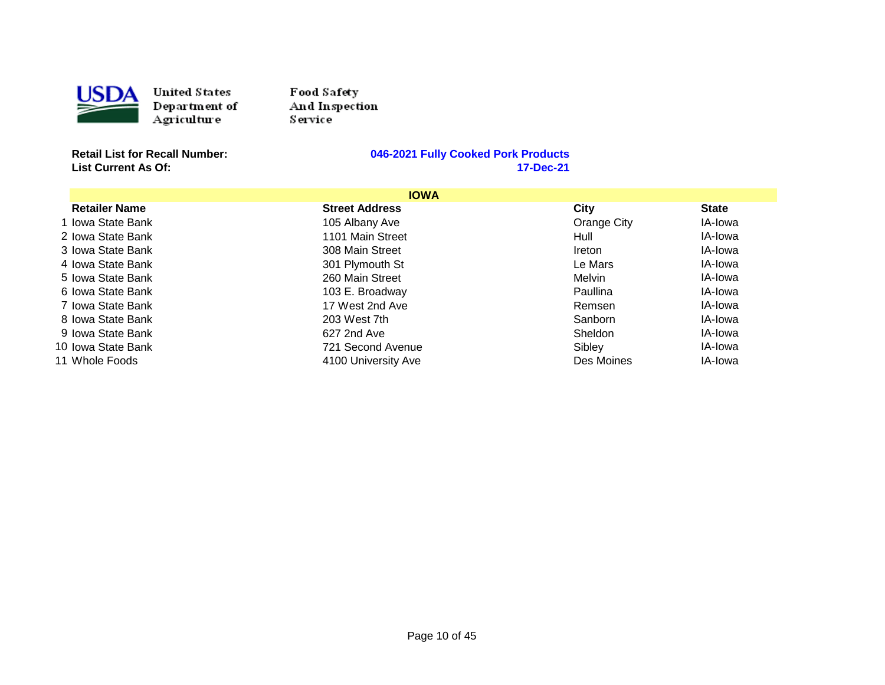

USDA United States<br>
Department of<br>
Agriculture<br>
Retail List for Recall Number: United States Department of Agriculture

Food Safety And Inspection Service<sup>1</sup>

**List Current As Of:** 

|                      | <b>IOWA</b>           |             |              |
|----------------------|-----------------------|-------------|--------------|
| <b>Retailer Name</b> | <b>Street Address</b> | City        | <b>State</b> |
| 1 Iowa State Bank    | 105 Albany Ave        | Orange City | IA-Iowa      |
| 2 Iowa State Bank    | 1101 Main Street      | Hull        | IA-Iowa      |
| 3 Iowa State Bank    | 308 Main Street       | Ireton      | IA-Iowa      |
| 4 Iowa State Bank    | 301 Plymouth St       | Le Mars     | IA-Iowa      |
| 5 Iowa State Bank    | 260 Main Street       | Melvin      | IA-Iowa      |
| 6 Iowa State Bank    | 103 E. Broadway       | Paullina    | IA-Iowa      |
| 7 Iowa State Bank    | 17 West 2nd Ave       | Remsen      | IA-lowa      |
| 8 Iowa State Bank    | 203 West 7th          | Sanborn     | IA-Iowa      |
| 9 Iowa State Bank    | 627 2nd Ave           | Sheldon     | IA-Iowa      |
| 10 Iowa State Bank   | 721 Second Avenue     | Sibley      | IA-Iowa      |
| 11 Whole Foods       | 4100 University Ave   | Des Moines  | IA-Iowa      |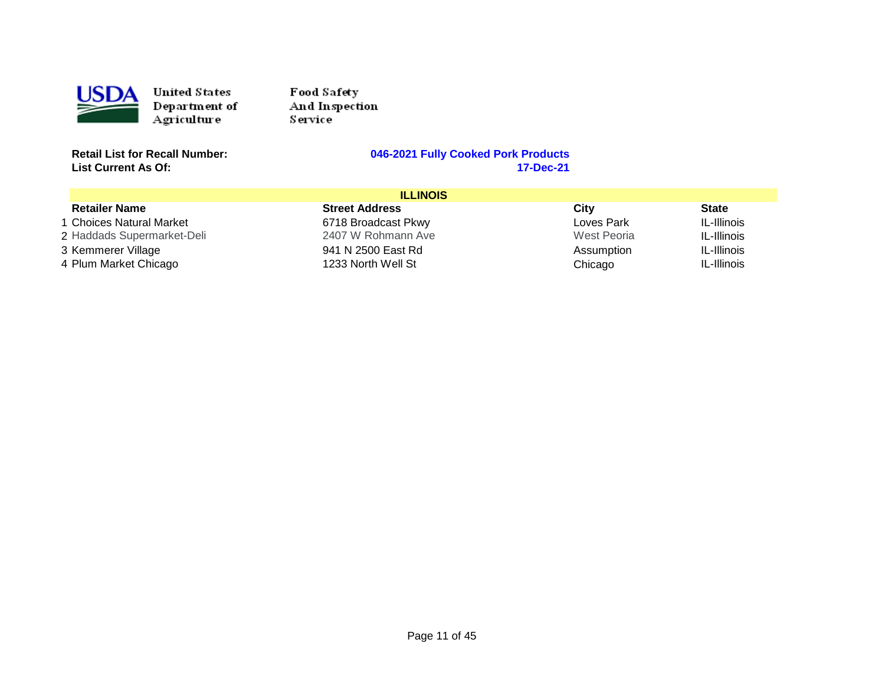

Food Sa fety And Inspection Service

**List Current As Of:** 

| <b>ILLINOIS</b>            |                       |             |              |
|----------------------------|-----------------------|-------------|--------------|
| <b>Retailer Name</b>       | <b>Street Address</b> | City        | <b>State</b> |
| 1 Choices Natural Market   | 6718 Broadcast Pkwy   | Loves Park  | IL-Illinois  |
| 2 Haddads Supermarket-Deli | 2407 W Rohmann Ave    | West Peoria | IL-Illinois  |
| 3 Kemmerer Village         | 941 N 2500 East Rd    | Assumption  | IL-Illinois  |
| 4 Plum Market Chicago      | 1233 North Well St    | Chicago     | IL-Illinois  |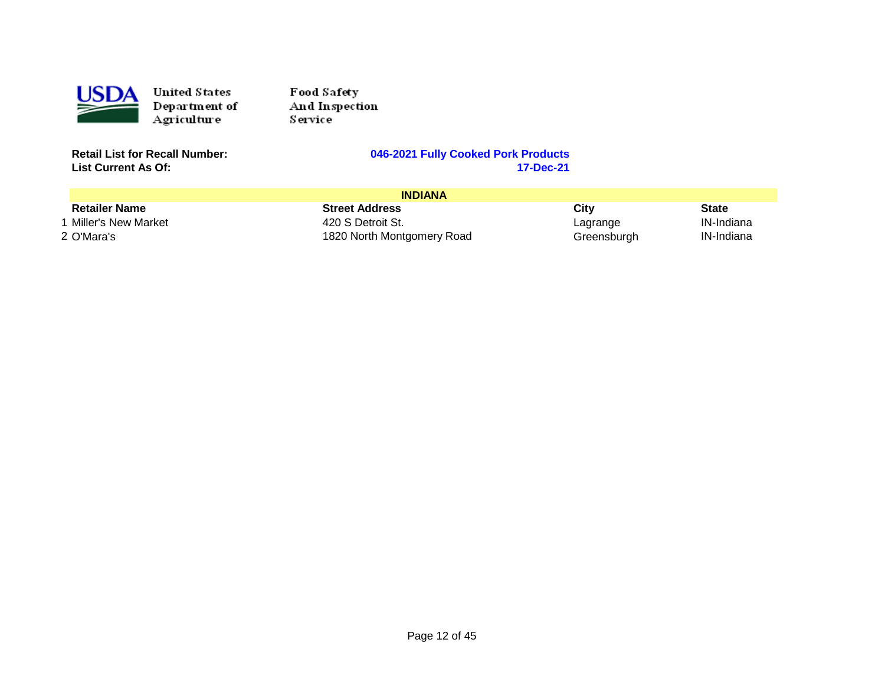

Food Sa fety And Inspection Service

**List Current As Of:** 

| <b>INDIANA</b>       |                            |             |              |
|----------------------|----------------------------|-------------|--------------|
| <b>Retailer Name</b> | <b>Street Address</b>      | City        | <b>State</b> |
| Miller's New Market  | 420 S Detroit St.          | Lagrange    | IN-Indiana   |
| 2 O'Mara's           | 1820 North Montgomery Road | Greensburgh | IN-Indiana   |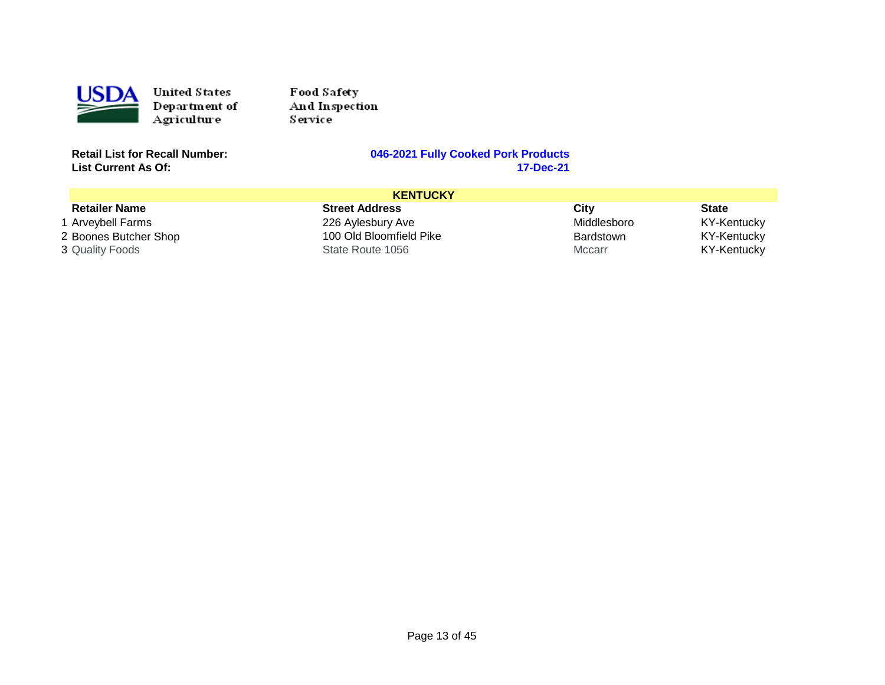

Food Sa fety And Inspection Service

**List Current As Of:** 

|                        | <b>KENTUCKY</b>         |             |              |
|------------------------|-------------------------|-------------|--------------|
| <b>Retailer Name</b>   | <b>Street Address</b>   | City        | <b>State</b> |
| 1 Arveybell Farms      | 226 Aylesbury Ave       | Middlesboro | KY-Kentucky  |
| 2 Boones Butcher Shop  | 100 Old Bloomfield Pike | Bardstown   | KY-Kentucky  |
| <b>3 Quality Foods</b> | State Route 1056        | Mccarr      | KY-Kentucky  |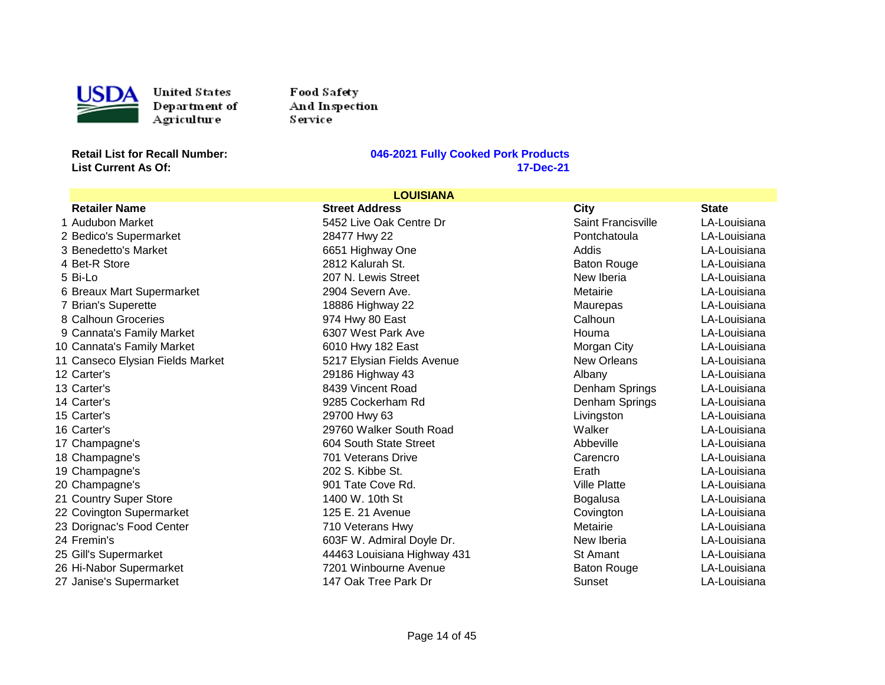

USDA United States<br>
Department of<br>
Agriculture<br>
Retail List for Recall Number: United States Department of Agriculture

Food Safety And Inspection Service<sup>1</sup>

**List Current As Of:** 

| <b>LOUISIANA</b>                 |                             |                     |              |
|----------------------------------|-----------------------------|---------------------|--------------|
| <b>Retailer Name</b>             | <b>Street Address</b>       | City                | <b>State</b> |
| 1 Audubon Market                 | 5452 Live Oak Centre Dr     | Saint Francisville  | LA-Louisiana |
| 2 Bedico's Supermarket           | 28477 Hwy 22                | Pontchatoula        | LA-Louisiana |
| 3 Benedetto's Market             | 6651 Highway One            | Addis               | LA-Louisiana |
| 4 Bet-R Store                    | 2812 Kalurah St.            | <b>Baton Rouge</b>  | LA-Louisiana |
| 5 Bi-Lo                          | 207 N. Lewis Street         | New Iberia          | LA-Louisiana |
| 6 Breaux Mart Supermarket        | 2904 Severn Ave.            | Metairie            | LA-Louisiana |
| 7 Brian's Superette              | 18886 Highway 22            | Maurepas            | LA-Louisiana |
| 8 Calhoun Groceries              | 974 Hwy 80 East             | Calhoun             | LA-Louisiana |
| 9 Cannata's Family Market        | 6307 West Park Ave          | Houma               | LA-Louisiana |
| 10 Cannata's Family Market       | 6010 Hwy 182 East           | Morgan City         | LA-Louisiana |
| 11 Canseco Elysian Fields Market | 5217 Elysian Fields Avenue  | <b>New Orleans</b>  | LA-Louisiana |
| 12 Carter's                      | 29186 Highway 43            | Albany              | LA-Louisiana |
| 13 Carter's                      | 8439 Vincent Road           | Denham Springs      | LA-Louisiana |
| 14 Carter's                      | 9285 Cockerham Rd           | Denham Springs      | LA-Louisiana |
| 15 Carter's                      | 29700 Hwy 63                | Livingston          | LA-Louisiana |
| 16 Carter's                      | 29760 Walker South Road     | Walker              | LA-Louisiana |
| 17 Champagne's                   | 604 South State Street      | Abbeville           | LA-Louisiana |
| 18 Champagne's                   | 701 Veterans Drive          | Carencro            | LA-Louisiana |
| 19 Champagne's                   | 202 S. Kibbe St.            | Erath               | LA-Louisiana |
| 20 Champagne's                   | 901 Tate Cove Rd.           | <b>Ville Platte</b> | LA-Louisiana |
| 21 Country Super Store           | 1400 W. 10th St             | Bogalusa            | LA-Louisiana |
| 22 Covington Supermarket         | 125 E. 21 Avenue            | Covington           | LA-Louisiana |
| 23 Dorignac's Food Center        | 710 Veterans Hwy            | Metairie            | LA-Louisiana |
| 24 Fremin's                      | 603F W. Admiral Doyle Dr.   | New Iberia          | LA-Louisiana |
| 25 Gill's Supermarket            | 44463 Louisiana Highway 431 | St Amant            | LA-Louisiana |
| 26 Hi-Nabor Supermarket          | 7201 Winbourne Avenue       | <b>Baton Rouge</b>  | LA-Louisiana |
| 27 Janise's Supermarket          | 147 Oak Tree Park Dr        | Sunset              | LA-Louisiana |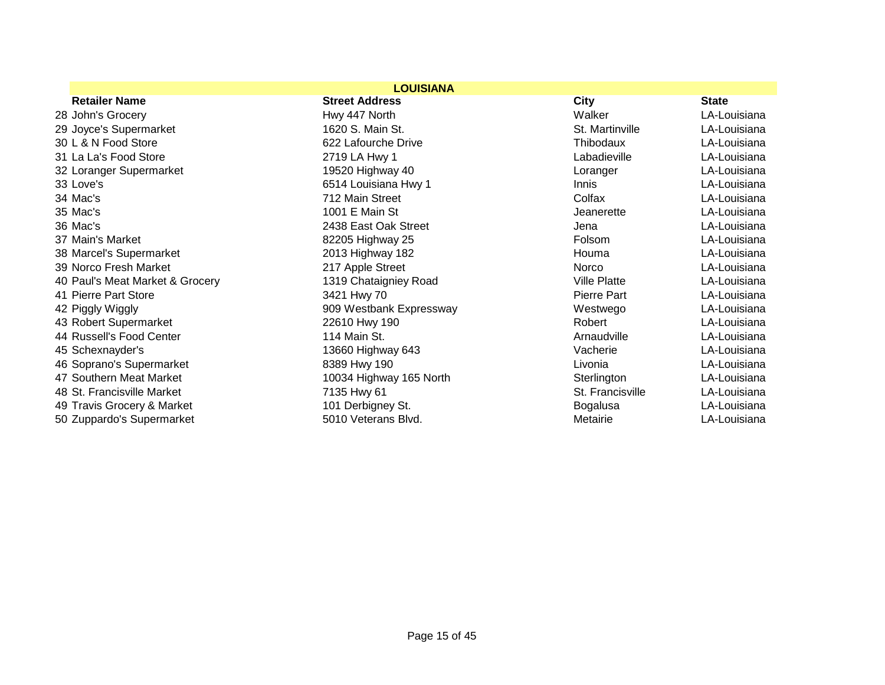| <b>LOUISIANA</b>                |                         |                     |              |
|---------------------------------|-------------------------|---------------------|--------------|
| <b>Retailer Name</b>            | <b>Street Address</b>   | <b>City</b>         | <b>State</b> |
| 28 John's Grocery               | Hwy 447 North           | Walker              | LA-Louisiana |
| 29 Joyce's Supermarket          | 1620 S. Main St.        | St. Martinville     | LA-Louisiana |
| 30 L & N Food Store             | 622 Lafourche Drive     | Thibodaux           | LA-Louisiana |
| 31 La La's Food Store           | 2719 LA Hwy 1           | Labadieville        | LA-Louisiana |
| 32 Loranger Supermarket         | 19520 Highway 40        | Loranger            | LA-Louisiana |
| 33 Love's                       | 6514 Louisiana Hwy 1    | Innis               | LA-Louisiana |
| 34 Mac's                        | 712 Main Street         | Colfax              | LA-Louisiana |
| 35 Mac's                        | 1001 E Main St          | Jeanerette          | LA-Louisiana |
| 36 Mac's                        | 2438 East Oak Street    | Jena                | LA-Louisiana |
| 37 Main's Market                | 82205 Highway 25        | Folsom              | LA-Louisiana |
| 38 Marcel's Supermarket         | 2013 Highway 182        | Houma               | LA-Louisiana |
| 39 Norco Fresh Market           | 217 Apple Street        | <b>Norco</b>        | LA-Louisiana |
| 40 Paul's Meat Market & Grocery | 1319 Chataigniey Road   | <b>Ville Platte</b> | LA-Louisiana |
| 41 Pierre Part Store            | 3421 Hwy 70             | Pierre Part         | LA-Louisiana |
| 42 Piggly Wiggly                | 909 Westbank Expressway | Westwego            | LA-Louisiana |
| 43 Robert Supermarket           | 22610 Hwy 190           | Robert              | LA-Louisiana |
| 44 Russell's Food Center        | 114 Main St.            | Arnaudville         | LA-Louisiana |
| 45 Schexnayder's                | 13660 Highway 643       | Vacherie            | LA-Louisiana |
| 46 Soprano's Supermarket        | 8389 Hwy 190            | Livonia             | LA-Louisiana |
| 47 Southern Meat Market         | 10034 Highway 165 North | Sterlington         | LA-Louisiana |
| 48 St. Francisville Market      | 7135 Hwy 61             | St. Francisville    | LA-Louisiana |
| 49 Travis Grocery & Market      | 101 Derbigney St.       | <b>Bogalusa</b>     | LA-Louisiana |
| 50 Zuppardo's Supermarket       | 5010 Veterans Blvd.     | Metairie            | LA-Louisiana |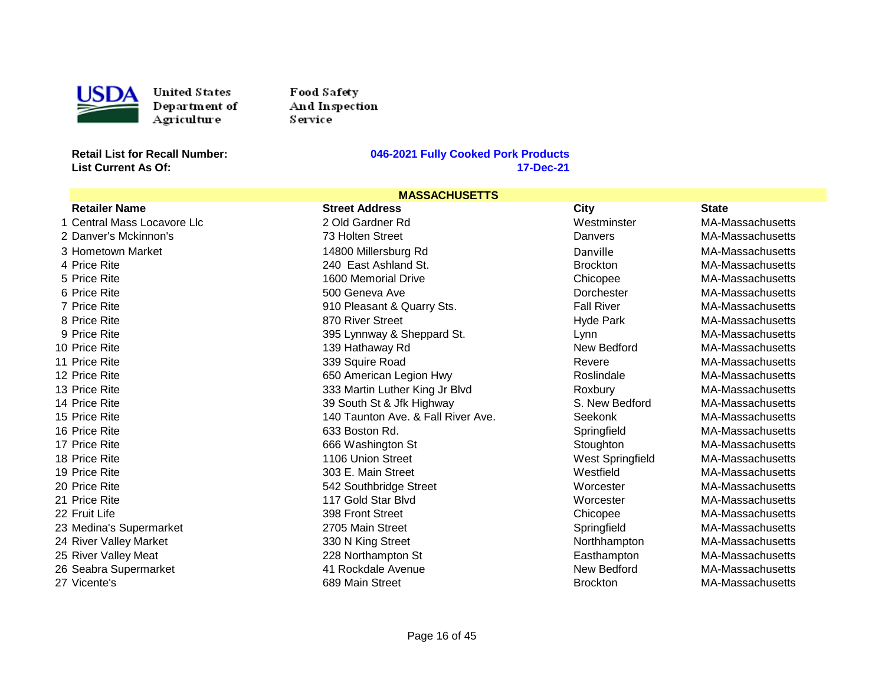

Food Safety And Inspection S ervice

#### **Retail List for Recall Number: 046-2021 Fully Cooked Pork Products List Current As Of: 17-Dec-21**

#### 73 Holten Street 398 Front Street 2705 Main Street 26 Seabra Supermarket 41 Rockdale Avenue New Bedford MA-Massachusetts 27 Vicente's **MASSACHUSETTS**<br>Street Address Retailer Name Street Address City State 1 Central Mass Locavore Llc 2 Old Gardner Rd Westminster MA-Massachusetts 2 Danver's Mckinnon's **2 Contract Contract Contract Contract Contract Contract Contract Contract Contract Contract Contract Contract Contract Danvers MA-Massachusetts** 3 Hometown Market **14800 Millersburg Rd** Danville Danville MA-Massachusetts 4 Price Rite 240 East Ashland St. 240 East Ashland St. Brockton MA-Massachusetts 5 Price Rite 1600 Memorial Drive Chicopee Chicopee MA-Massachusetts 6 Price Rite 6 No. 2016 MA-Massachusetts 500 Geneva Ave Communication of the Dorchester MA-Massachusetts 6 No. 7 Price Rite 6 200 Pleasant & Quarry Sts. Fall River MA-Massachusetts MA-Massachusetts 8 Price Rite 870 River Street Hyde Park MA-Massachusetts 9 Price Rite 395 Lynnway & Sheppard St. Channel Lynn MA-Massachusetts 395 Lynnway & Sheppard St. 10 Price Rite 139 Hathaway Rd New Bedford MA-Massachusetts 11 Price Rite 339 Squire Road Revere MA-Massachusetts 12 Price Rite 650 American Legion Hwy Roslindale MA-Massachusetts 13 Price Rite 333 Martin Luther King Jr Blvd Roxbury Roxbury MA-Massachusetts 14 Price Rite 39 South St & Jfk Highway S. New Bedford MA-Massachusetts 15 Price Rite 140 Taunton Ave. & Fall River Ave. Seekonk MA-Massachusetts 16 Price Rite 633 Boston Rd. Springfield MA-Massachusetts 17 Price Rite 66 Mashington St Stoughton St Stoughton MA-Massachusetts 18 Price Rite 1106 Union Street West Springfield MA-Massachusetts 19 Price Rite 303 Main Street Main Street Metal Mestfield MA-Massachusetts MacMuseum Manusculine Metal MacMuseum 20 Price Rite 6 20 MA-Massachusetts 542 Southbridge Street Worcester MA-Massachusetts 21 Price Rite 117 Gold Star Blvd Worcester MA-Massachusetts 22 Fruit Life 398 Front Street Chicopee MA-Massachusetts (22 Fruit Life 398 Front Street Chicopee MA-Massachusetts 23 Medina's Supermarket **2705 Main Street** Springfield Springfield MA-Massachusetts 24 River Valley Market **330 N** S 30 N King Street Northhampton MA-Massachusetts 25 River Valley Meat 228 Northampton St Easthampton MA-Massachusetts 27 Vicente's 689 Main Street Brockton MA-Massachusetts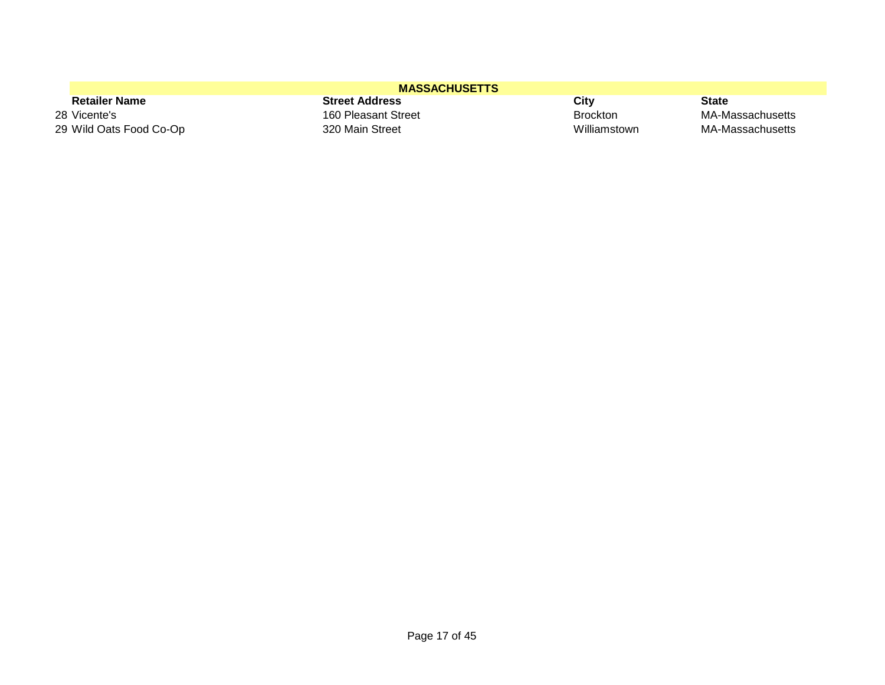| <b>MASSACHUSETTS</b>    |                       |                 |                  |
|-------------------------|-----------------------|-----------------|------------------|
| <b>Retailer Name</b>    | <b>Street Address</b> | City            | State            |
| 28 Vicente's            | 160 Pleasant Street   | <b>Brockton</b> | MA-Massachusetts |
| 29 Wild Oats Food Co-Op | 320 Main Street       | Williamstown    | MA-Massachusetts |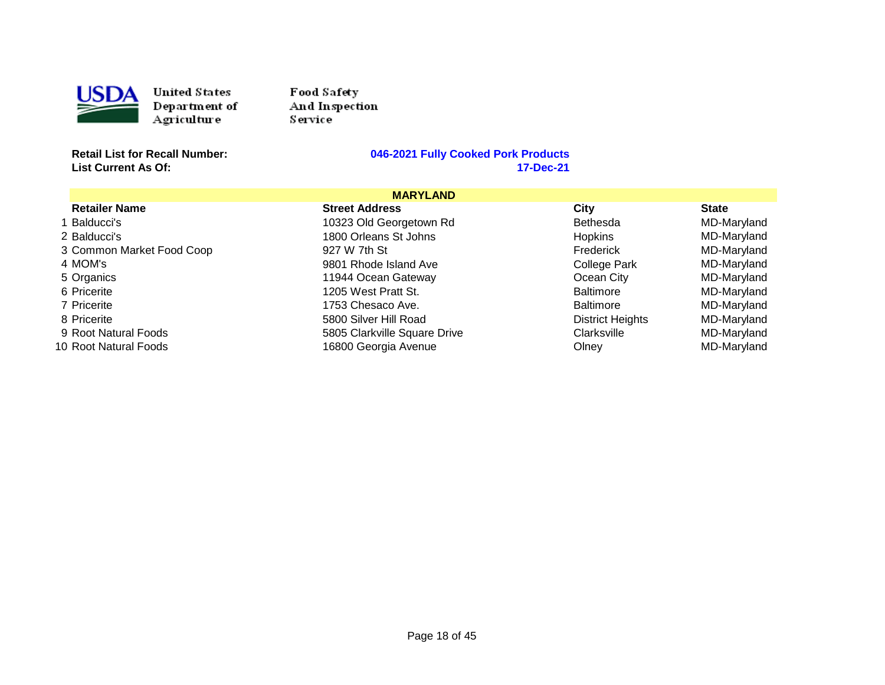

USDA United States<br>
Department of<br>
Agriculture<br>
Retail List for Recall Number: United States Department of Agriculture

Food Safety And Inspection Service<sup>1</sup>

**List Current As Of:** 

# **Retailly Cooked Pork Products**<br>17-Dec-21

|                           | <b>MARYLAND</b>              |                         |              |
|---------------------------|------------------------------|-------------------------|--------------|
| <b>Retailer Name</b>      | <b>Street Address</b>        | City                    | <b>State</b> |
| 1 Balducci's              | 10323 Old Georgetown Rd      | <b>Bethesda</b>         | MD-Maryland  |
| 2 Balducci's              | 1800 Orleans St Johns        | <b>Hopkins</b>          | MD-Maryland  |
| 3 Common Market Food Coop | 927 W 7th St                 | Frederick               | MD-Maryland  |
| 4 MOM's                   | 9801 Rhode Island Ave        | College Park            | MD-Maryland  |
| 5 Organics                | 11944 Ocean Gateway          | Ocean City              | MD-Maryland  |
| 6 Pricerite               | 1205 West Pratt St.          | <b>Baltimore</b>        | MD-Maryland  |
| 7 Pricerite               | 1753 Chesaco Ave.            | <b>Baltimore</b>        | MD-Maryland  |
| 8 Pricerite               | 5800 Silver Hill Road        | <b>District Heights</b> | MD-Maryland  |
| 9 Root Natural Foods      | 5805 Clarkville Square Drive | Clarksville             | MD-Maryland  |
| 10 Root Natural Foods     | 16800 Georgia Avenue         | Olney                   | MD-Maryland  |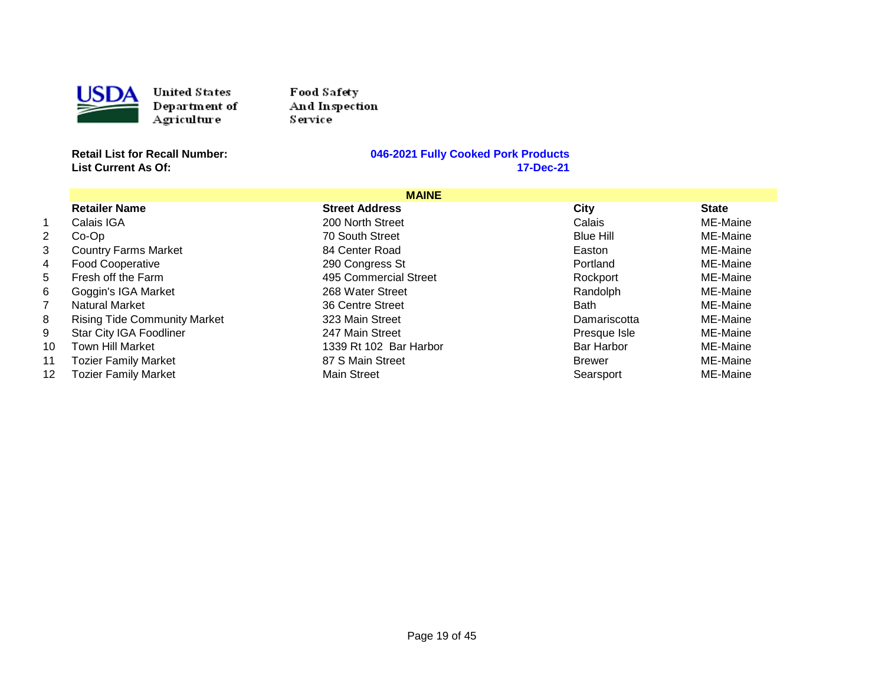

Food Sa fety And Inspection S ervice

**List Current As Of:** 

|                  |                                     | <b>MAINE</b>           |                   |              |
|------------------|-------------------------------------|------------------------|-------------------|--------------|
|                  | <b>Retailer Name</b>                | <b>Street Address</b>  | City              | <b>State</b> |
| 1.               | Calais IGA                          | 200 North Street       | Calais            | ME-Maine     |
| $\overline{2}$   | $Co-Op$                             | 70 South Street        | <b>Blue Hill</b>  | ME-Maine     |
| 3                | <b>Country Farms Market</b>         | 84 Center Road         | Easton            | ME-Maine     |
| 4                | <b>Food Cooperative</b>             | 290 Congress St        | Portland          | ME-Maine     |
| 5.               | Fresh off the Farm                  | 495 Commercial Street  | Rockport          | ME-Maine     |
| 6.               | Goggin's IGA Market                 | 268 Water Street       | Randolph          | ME-Maine     |
|                  | <b>Natural Market</b>               | 36 Centre Street       | <b>Bath</b>       | ME-Maine     |
| 8.               | <b>Rising Tide Community Market</b> | 323 Main Street        | Damariscotta      | ME-Maine     |
| 9.               | Star City IGA Foodliner             | 247 Main Street        | Presque Isle      | ME-Maine     |
| 10               | <b>Town Hill Market</b>             | 1339 Rt 102 Bar Harbor | <b>Bar Harbor</b> | ME-Maine     |
| 11               | <b>Tozier Family Market</b>         | 87 S Main Street       | <b>Brewer</b>     | ME-Maine     |
| 12 <sup>12</sup> | <b>Tozier Family Market</b>         | <b>Main Street</b>     | Searsport         | ME-Maine     |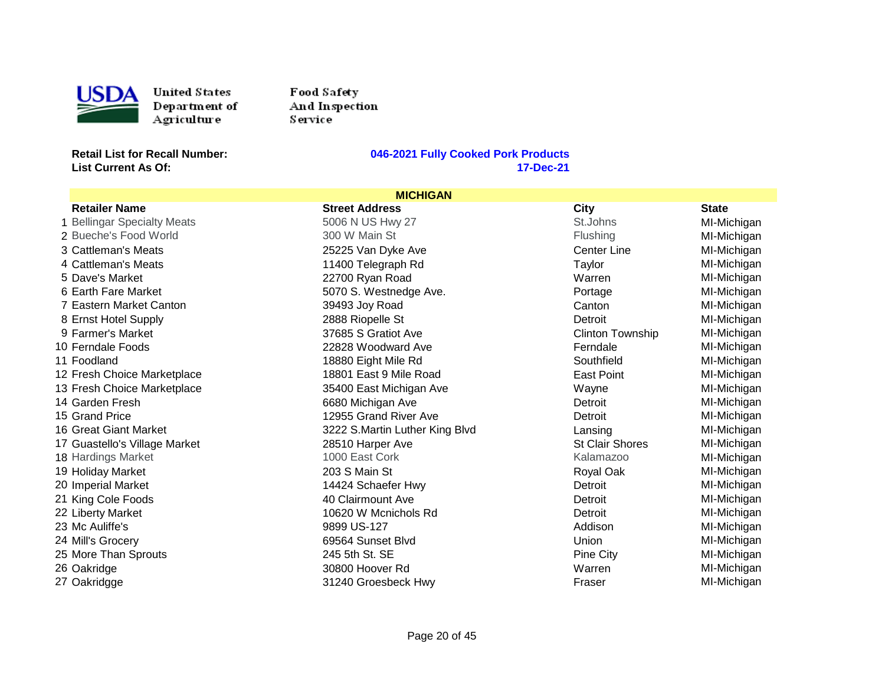

Food Sa fety And Inspection Service

**List Current As Of:** 

| <b>MICHIGAN</b>               |                                |                         |              |
|-------------------------------|--------------------------------|-------------------------|--------------|
| <b>Retailer Name</b>          | <b>Street Address</b>          | City                    | <b>State</b> |
| 1 Bellingar Specialty Meats   | 5006 N US Hwy 27               | St.Johns                | MI-Michigan  |
| 2 Bueche's Food World         | 300 W Main St                  | <b>Flushing</b>         | MI-Michigan  |
| 3 Cattleman's Meats           | 25225 Van Dyke Ave             | <b>Center Line</b>      | MI-Michigan  |
| 4 Cattleman's Meats           | 11400 Telegraph Rd             | Taylor                  | MI-Michigan  |
| 5 Dave's Market               | 22700 Ryan Road                | Warren                  | MI-Michigan  |
| 6 Earth Fare Market           | 5070 S. Westnedge Ave.         | Portage                 | MI-Michigan  |
| 7 Eastern Market Canton       | 39493 Joy Road                 | Canton                  | MI-Michigan  |
| 8 Ernst Hotel Supply          | 2888 Riopelle St               | Detroit                 | MI-Michigan  |
| 9 Farmer's Market             | 37685 S Gratiot Ave            | <b>Clinton Township</b> | MI-Michigan  |
| 10 Ferndale Foods             | 22828 Woodward Ave             | Ferndale                | MI-Michigan  |
| 11 Foodland                   | 18880 Eight Mile Rd            | Southfield              | MI-Michigan  |
| 12 Fresh Choice Marketplace   | 18801 East 9 Mile Road         | East Point              | MI-Michigan  |
| 13 Fresh Choice Marketplace   | 35400 East Michigan Ave        | Wayne                   | MI-Michigan  |
| 14 Garden Fresh               | 6680 Michigan Ave              | Detroit                 | MI-Michigan  |
| 15 Grand Price                | 12955 Grand River Ave          | Detroit                 | MI-Michigan  |
| 16 Great Giant Market         | 3222 S.Martin Luther King Blvd | Lansing                 | MI-Michigan  |
| 17 Guastello's Village Market | 28510 Harper Ave               | <b>St Clair Shores</b>  | MI-Michigan  |
| 18 Hardings Market            | 1000 East Cork                 | Kalamazoo               | MI-Michigan  |
| 19 Holiday Market             | 203 S Main St                  | Royal Oak               | MI-Michigan  |
| 20 Imperial Market            | 14424 Schaefer Hwy             | Detroit                 | MI-Michigan  |
| 21 King Cole Foods            | 40 Clairmount Ave              | Detroit                 | MI-Michigan  |
| 22 Liberty Market             | 10620 W Mcnichols Rd           | Detroit                 | MI-Michigan  |
| 23 Mc Auliffe's               | 9899 US-127                    | Addison                 | MI-Michigan  |
| 24 Mill's Grocery             | 69564 Sunset Blvd              | Union                   | MI-Michigan  |
| 25 More Than Sprouts          | 245 5th St. SE                 | Pine City               | MI-Michigan  |
| 26 Oakridge                   | 30800 Hoover Rd                | Warren                  | MI-Michigan  |
| 27 Oakridgge                  | 31240 Groesbeck Hwy            | Fraser                  | MI-Michigan  |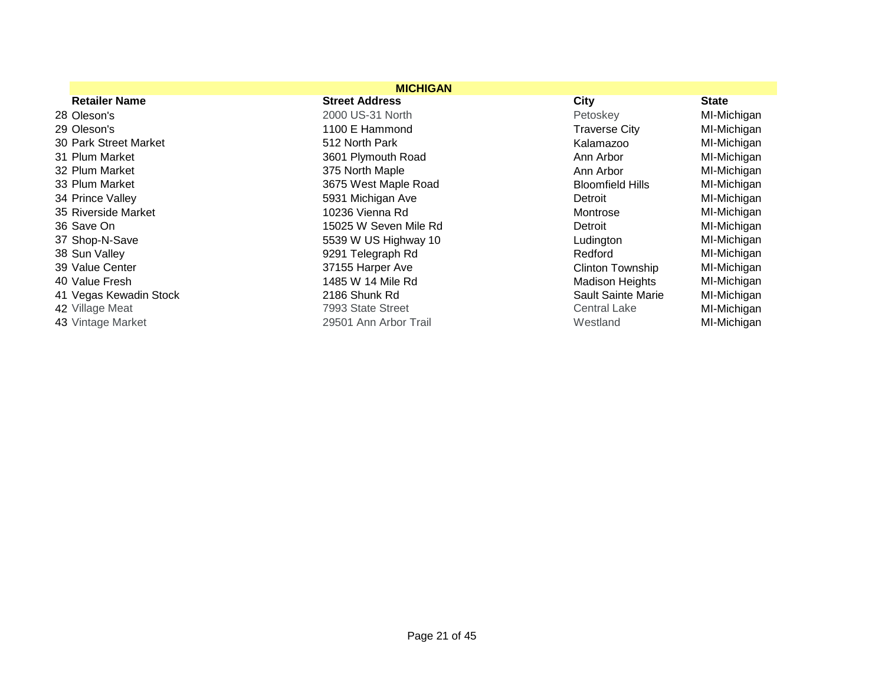|                        | <b>MICHIGAN</b>       |                         |              |
|------------------------|-----------------------|-------------------------|--------------|
| <b>Retailer Name</b>   | <b>Street Address</b> | City                    | <b>State</b> |
| 28 Oleson's            | 2000 US-31 North      | Petoskey                | MI-Michigan  |
| 29 Oleson's            | 1100 E Hammond        | <b>Traverse City</b>    | MI-Michigan  |
| 30 Park Street Market  | 512 North Park        | Kalamazoo               | MI-Michigan  |
| 31 Plum Market         | 3601 Plymouth Road    | Ann Arbor               | MI-Michigan  |
| 32 Plum Market         | 375 North Maple       | Ann Arbor               | MI-Michigan  |
| 33 Plum Market         | 3675 West Maple Road  | <b>Bloomfield Hills</b> | MI-Michigan  |
| 34 Prince Valley       | 5931 Michigan Ave     | Detroit                 | MI-Michigan  |
| 35 Riverside Market    | 10236 Vienna Rd       | Montrose                | MI-Michigan  |
| 36 Save On             | 15025 W Seven Mile Rd | Detroit                 | MI-Michigan  |
| 37 Shop-N-Save         | 5539 W US Highway 10  | Ludington               | MI-Michigan  |
| 38 Sun Valley          | 9291 Telegraph Rd     | Redford                 | MI-Michigan  |
| 39 Value Center        | 37155 Harper Ave      | <b>Clinton Township</b> | MI-Michigan  |
| 40 Value Fresh         | 1485 W 14 Mile Rd     | <b>Madison Heights</b>  | MI-Michigan  |
| 41 Vegas Kewadin Stock | 2186 Shunk Rd         | Sault Sainte Marie      | MI-Michigan  |
| 42 Village Meat        | 7993 State Street     | <b>Central Lake</b>     | MI-Michigan  |
| 43 Vintage Market      | 29501 Ann Arbor Trail | Westland                | MI-Michigan  |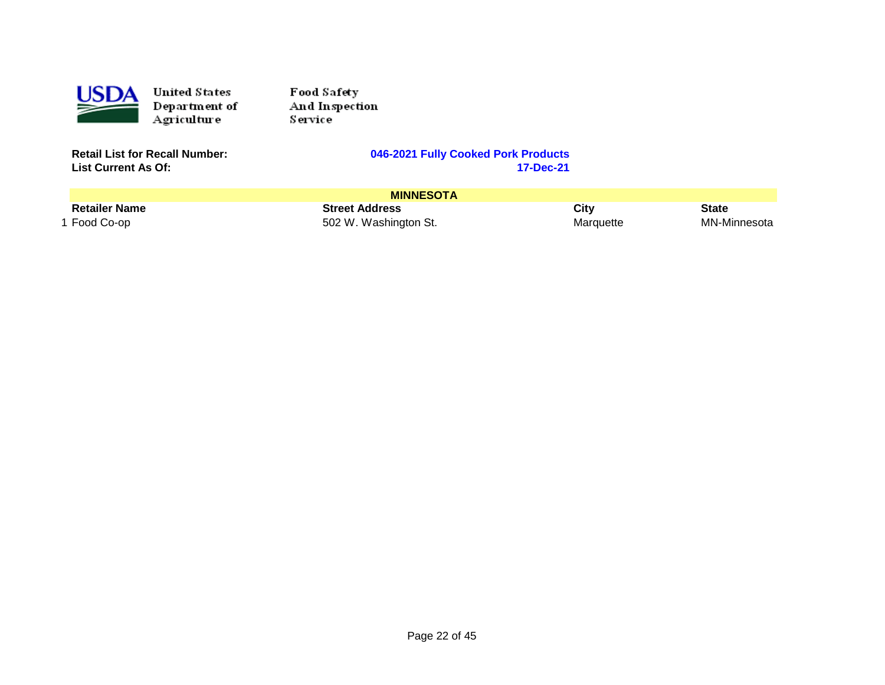

Food Sa fety And Inspection Service

**List Current As Of:** 

| <b>MINNESOTA</b>     |                       |           |              |
|----------------------|-----------------------|-----------|--------------|
| <b>Retailer Name</b> | <b>Street Address</b> | City      | <b>State</b> |
| 1 Food Co-op         | 502 W. Washington St. | Marquette | MN-Minnesota |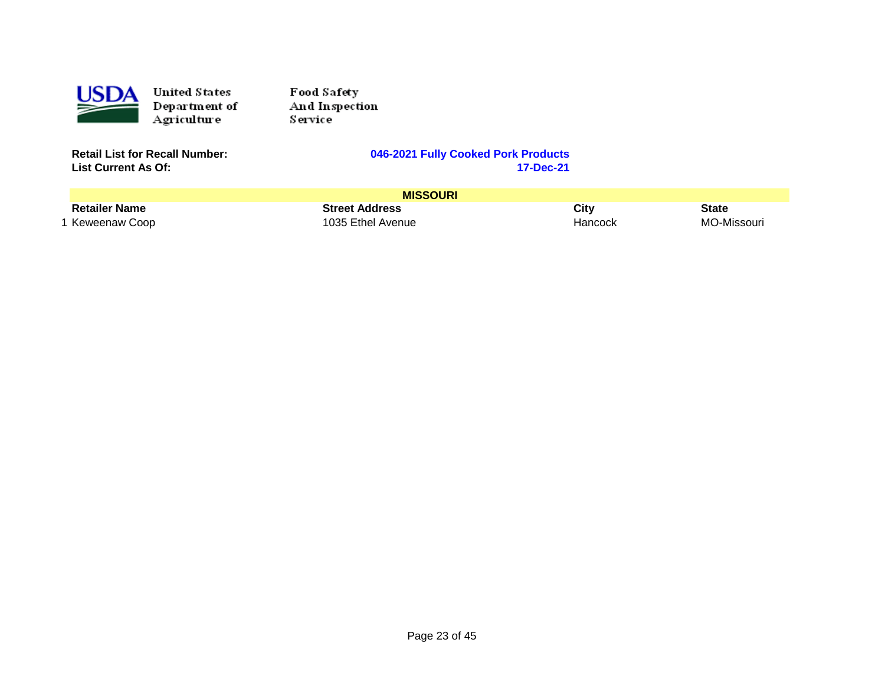

Food Safety And Inspection Service<sup>1</sup>

**List Current As Of:** 

|                      | <b>MISSOURI</b>       |         |              |
|----------------------|-----------------------|---------|--------------|
| <b>Retailer Name</b> | <b>Street Address</b> | City    | <b>State</b> |
| 1 Keweenaw Coop      | 1035 Ethel Avenue     | Hancock | MO-Missouri  |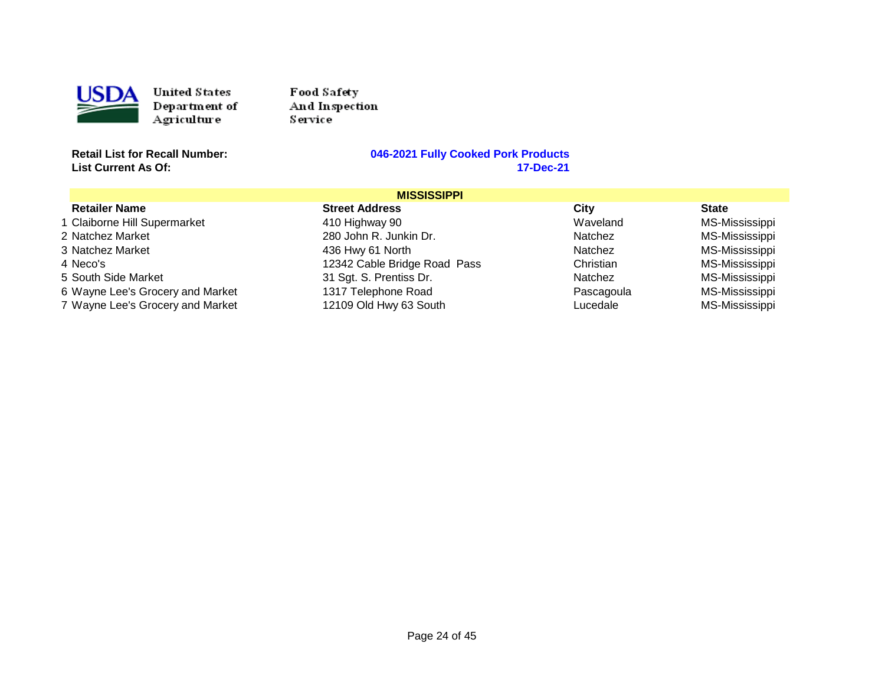

Food Sa fety And Inspection Service

**List Current As Of:** 

|                                  | <b>MISSISSIPPI</b>           |            |                |  |
|----------------------------------|------------------------------|------------|----------------|--|
| <b>Retailer Name</b>             | <b>Street Address</b>        | City       | <b>State</b>   |  |
| 1 Claiborne Hill Supermarket     | 410 Highway 90               | Waveland   | MS-Mississippi |  |
| 2 Natchez Market                 | 280 John R. Junkin Dr.       | Natchez    | MS-Mississippi |  |
| 3 Natchez Market                 | 436 Hwy 61 North             | Natchez    | MS-Mississippi |  |
| 4 Neco's                         | 12342 Cable Bridge Road Pass | Christian  | MS-Mississippi |  |
| 5 South Side Market              | 31 Sgt. S. Prentiss Dr.      | Natchez    | MS-Mississippi |  |
| 6 Wayne Lee's Grocery and Market | 1317 Telephone Road          | Pascagoula | MS-Mississippi |  |
| 7 Wayne Lee's Grocery and Market | 12109 Old Hwy 63 South       | Lucedale   | MS-Mississippi |  |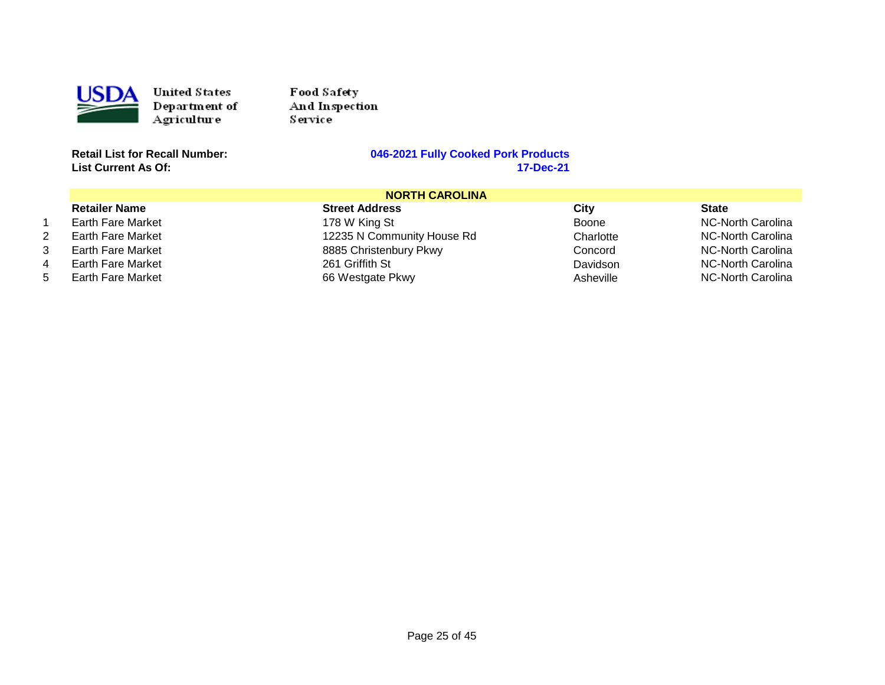

Food Sa fety And Inspection Service

**List Current As Of:** 

|    | <b>NORTH CAROLINA</b>    |                            |           |                   |
|----|--------------------------|----------------------------|-----------|-------------------|
|    | <b>Retailer Name</b>     | <b>Street Address</b>      | City      | <b>State</b>      |
|    | Earth Fare Market        | 178 W King St              | Boone     | NC-North Carolina |
| 2. | Earth Fare Market        | 12235 N Community House Rd | Charlotte | NC-North Carolina |
| 3. | Earth Fare Market        | 8885 Christenbury Pkwy     | Concord   | NC-North Carolina |
|    | <b>Earth Fare Market</b> | 261 Griffith St            | Davidson  | NC-North Carolina |
| 5  | <b>Earth Fare Market</b> | 66 Westgate Pkwy           | Asheville | NC-North Carolina |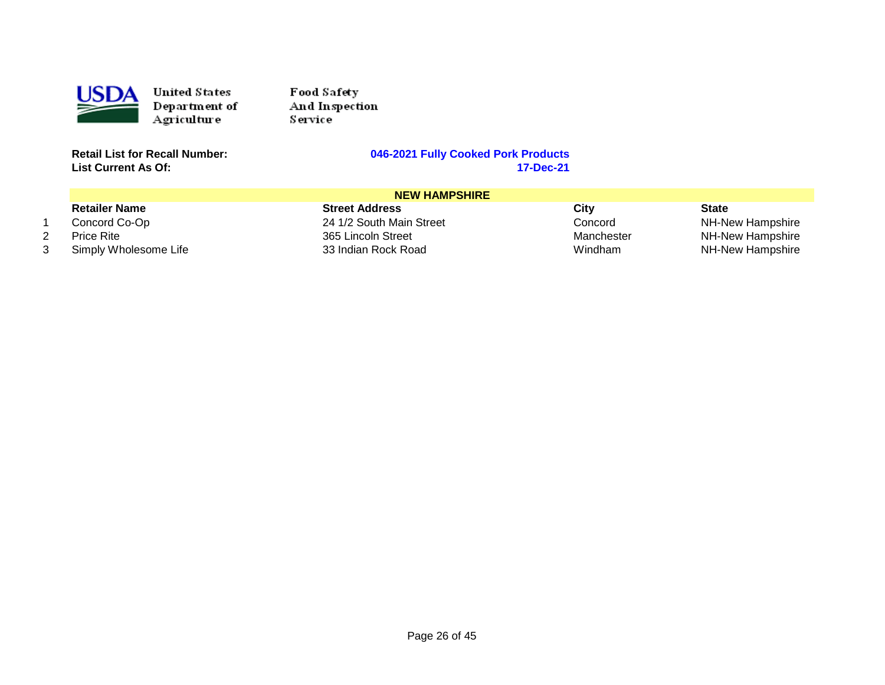

1 2 3 United States Department of Agriculture

Food Safety And Inspection Service<sup>1</sup>

**Retail List for Recall Number: List Current As Of:** 

#### **046-2021 Fully Cooked Pork Products 17-Dec-21**

|                       | <b>NEW HAMPSHIRE</b>     |            |                  |
|-----------------------|--------------------------|------------|------------------|
| <b>Retailer Name</b>  | <b>Street Address</b>    | City       | <b>State</b>     |
| Concord Co-Op         | 24 1/2 South Main Street | Concord    | NH-New Hampshire |
| <b>Price Rite</b>     | 365 Lincoln Street       | Manchester | NH-New Hampshire |
| Simply Wholesome Life | 33 Indian Rock Road      | Windham    | NH-New Hampshire |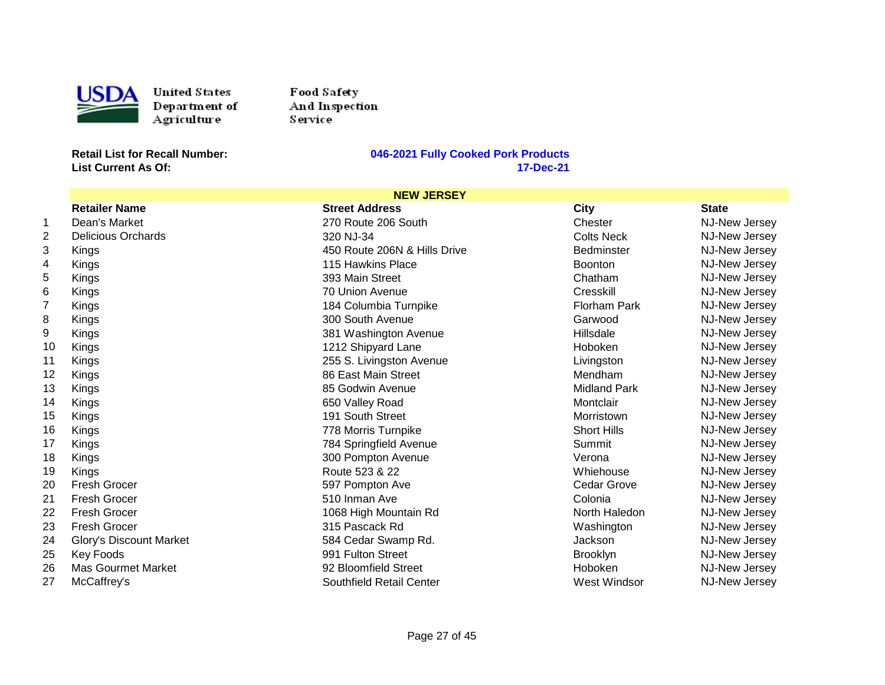

Food Sa fety And Inspection Service

**List Current As Of:** 

|                |                           | <b>NEW JERSEY</b>            |                     |                      |
|----------------|---------------------------|------------------------------|---------------------|----------------------|
|                | <b>Retailer Name</b>      | <b>Street Address</b>        | <b>City</b>         | <b>State</b>         |
| 1              | Dean's Market             | 270 Route 206 South          | Chester             | NJ-New Jersey        |
| $\overline{2}$ | <b>Delicious Orchards</b> | 320 NJ-34                    | <b>Colts Neck</b>   | NJ-New Jersey        |
| 3              | Kings                     | 450 Route 206N & Hills Drive | <b>Bedminster</b>   | <b>NJ-New Jersey</b> |
| 4              | Kings                     | 115 Hawkins Place            | <b>Boonton</b>      | NJ-New Jersey        |
| 5              | Kings                     | 393 Main Street              | Chatham             | NJ-New Jersey        |
| 6              | Kings                     | 70 Union Avenue              | Cresskill           | NJ-New Jersey        |
| $\overline{7}$ | Kings                     | 184 Columbia Turnpike        | Florham Park        | NJ-New Jersey        |
| 8              | Kings                     | 300 South Avenue             | Garwood             | NJ-New Jersey        |
| 9              | Kings                     | 381 Washington Avenue        | Hillsdale           | NJ-New Jersey        |
| 10             | Kings                     | 1212 Shipyard Lane           | <b>Hoboken</b>      | <b>NJ-New Jersey</b> |
| 11             | Kings                     | 255 S. Livingston Avenue     | Livingston          | NJ-New Jersey        |
| 12             | Kings                     | 86 East Main Street          | Mendham             | NJ-New Jersey        |
| 13             | Kings                     | 85 Godwin Avenue             | <b>Midland Park</b> | NJ-New Jersey        |
| 14             | Kings                     | 650 Valley Road              | Montclair           | NJ-New Jersey        |
| 15             | Kings                     | 191 South Street             | Morristown          | <b>NJ-New Jersey</b> |
| 16             | Kings                     | 778 Morris Turnpike          | <b>Short Hills</b>  | NJ-New Jersey        |
| 17             | Kings                     | 784 Springfield Avenue       | Summit              | NJ-New Jersey        |
| 18             | Kings                     | 300 Pompton Avenue           | Verona              | NJ-New Jersey        |
| 19             | Kings                     | Route 523 & 22               | Whiehouse           | NJ-New Jersey        |
| 20             | Fresh Grocer              | 597 Pompton Ave              | Cedar Grove         | NJ-New Jersey        |
| 21             | <b>Fresh Grocer</b>       | 510 Inman Ave                | Colonia             | <b>NJ-New Jersey</b> |
| 22             | Fresh Grocer              | 1068 High Mountain Rd        | North Haledon       | NJ-New Jersey        |
| 23             | <b>Fresh Grocer</b>       | 315 Pascack Rd               | Washington          | NJ-New Jersey        |
| 24             | Glory's Discount Market   | 584 Cedar Swamp Rd.          | Jackson             | NJ-New Jersey        |
| 25             | <b>Key Foods</b>          | 991 Fulton Street            | <b>Brooklyn</b>     | NJ-New Jersey        |
| 26             | <b>Mas Gourmet Market</b> | 92 Bloomfield Street         | Hoboken             | NJ-New Jersey        |
| 27             | McCaffrey's               | Southfield Retail Center     | West Windsor        | NJ-New Jersey        |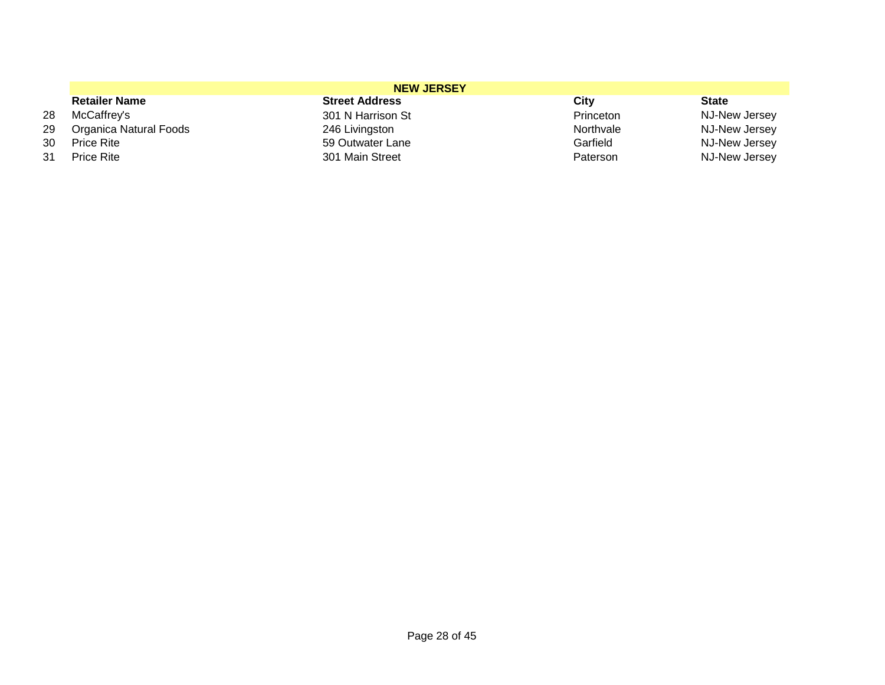|      | <b>NEW JERSEY</b>      |                       |           |               |  |
|------|------------------------|-----------------------|-----------|---------------|--|
|      | <b>Retailer Name</b>   | <b>Street Address</b> | City      | <b>State</b>  |  |
| 28   | McCaffrey's            | 301 N Harrison St     | Princeton | NJ-New Jersey |  |
| 29 - | Organica Natural Foods | 246 Livingston        | Northvale | NJ-New Jersey |  |
| 30   | <b>Price Rite</b>      | 59 Outwater Lane      | Garfield  | NJ-New Jersey |  |
| 31   | <b>Price Rite</b>      | 301 Main Street       | Paterson  | NJ-New Jersey |  |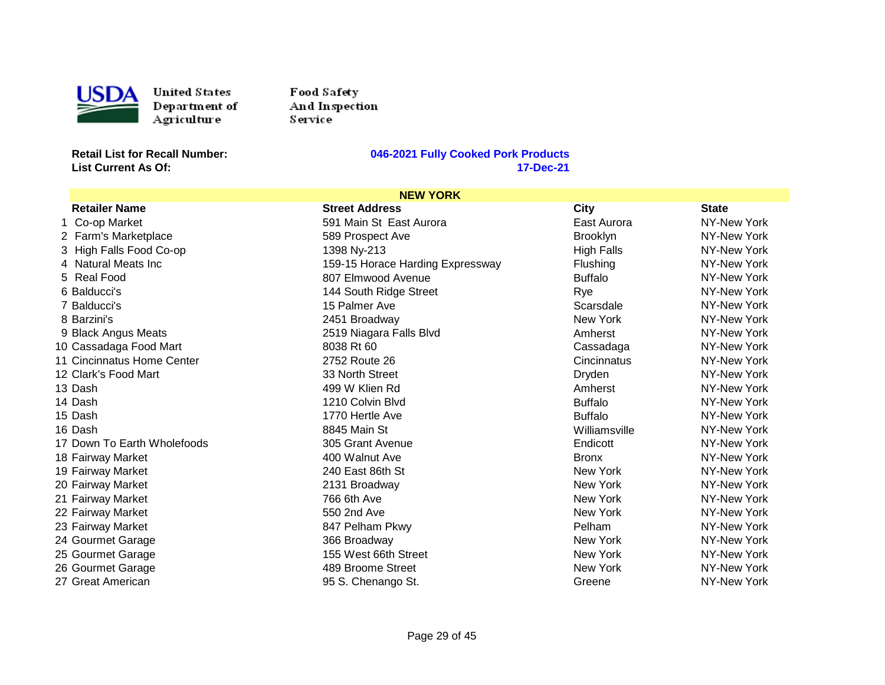

Food Sa fety And Inspection Service

**List Current As Of:** 

| <b>NEW YORK</b>             |                                  |                   |              |
|-----------------------------|----------------------------------|-------------------|--------------|
| <b>Retailer Name</b>        | <b>Street Address</b>            | <b>City</b>       | <b>State</b> |
| 1 Co-op Market              | 591 Main St East Aurora          | East Aurora       | NY-New York  |
| 2 Farm's Marketplace        | 589 Prospect Ave                 | <b>Brooklyn</b>   | NY-New York  |
| 3 High Falls Food Co-op     | 1398 Ny-213                      | <b>High Falls</b> | NY-New York  |
| 4 Natural Meats Inc         | 159-15 Horace Harding Expressway | Flushing          | NY-New York  |
| 5 Real Food                 | 807 Elmwood Avenue               | <b>Buffalo</b>    | NY-New York  |
| 6 Balducci's                | 144 South Ridge Street           | Rye               | NY-New York  |
| 7 Balducci's                | 15 Palmer Ave                    | Scarsdale         | NY-New York  |
| 8 Barzini's                 | 2451 Broadway                    | New York          | NY-New York  |
| 9 Black Angus Meats         | 2519 Niagara Falls Blvd          | Amherst           | NY-New York  |
| 10 Cassadaga Food Mart      | 8038 Rt 60                       | Cassadaga         | NY-New York  |
| 11 Cincinnatus Home Center  | 2752 Route 26                    | Cincinnatus       | NY-New York  |
| 12 Clark's Food Mart        | 33 North Street                  | Dryden            | NY-New York  |
| 13 Dash                     | 499 W Klien Rd                   | Amherst           | NY-New York  |
| 14 Dash                     | 1210 Colvin Blvd                 | <b>Buffalo</b>    | NY-New York  |
| 15 Dash                     | 1770 Hertle Ave                  | <b>Buffalo</b>    | NY-New York  |
| 16 Dash                     | 8845 Main St                     | Williamsville     | NY-New York  |
| 17 Down To Earth Wholefoods | 305 Grant Avenue                 | Endicott          | NY-New York  |
| 18 Fairway Market           | 400 Walnut Ave                   | <b>Bronx</b>      | NY-New York  |
| 19 Fairway Market           | 240 East 86th St                 | New York          | NY-New York  |
| 20 Fairway Market           | 2131 Broadway                    | New York          | NY-New York  |
| 21 Fairway Market           | 766 6th Ave                      | New York          | NY-New York  |
| 22 Fairway Market           | 550 2nd Ave                      | New York          | NY-New York  |
| 23 Fairway Market           | 847 Pelham Pkwy                  | Pelham            | NY-New York  |
| 24 Gourmet Garage           | 366 Broadway                     | New York          | NY-New York  |
| 25 Gourmet Garage           | 155 West 66th Street             | New York          | NY-New York  |
| 26 Gourmet Garage           | 489 Broome Street                | New York          | NY-New York  |
| 27 Great American           | 95 S. Chenango St.               | Greene            | NY-New York  |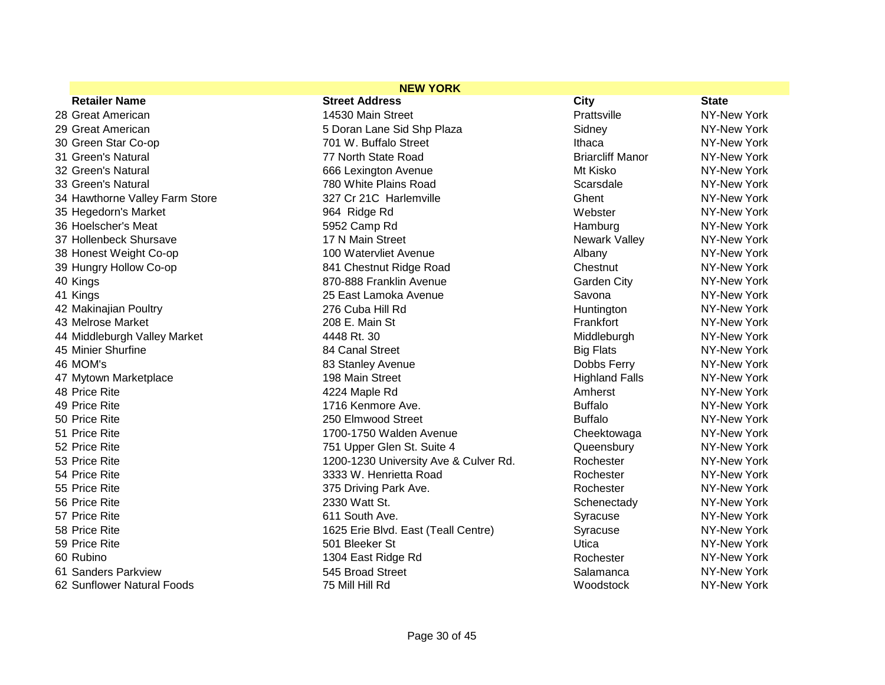| <b>NEW YORK</b>                |                                       |                         |              |
|--------------------------------|---------------------------------------|-------------------------|--------------|
| <b>Retailer Name</b>           | <b>Street Address</b>                 | <b>City</b>             | <b>State</b> |
| 28 Great American              | 14530 Main Street                     | Prattsville             | NY-New York  |
| 29 Great American              | 5 Doran Lane Sid Shp Plaza            | Sidney                  | NY-New York  |
| 30 Green Star Co-op            | 701 W. Buffalo Street                 | Ithaca                  | NY-New York  |
| 31 Green's Natural             | 77 North State Road                   | <b>Briarcliff Manor</b> | NY-New York  |
| 32 Green's Natural             | 666 Lexington Avenue                  | Mt Kisko                | NY-New York  |
| 33 Green's Natural             | 780 White Plains Road                 | Scarsdale               | NY-New York  |
| 34 Hawthorne Valley Farm Store | 327 Cr 21C Harlemville                | Ghent                   | NY-New York  |
| 35 Hegedorn's Market           | 964 Ridge Rd                          | Webster                 | NY-New York  |
| 36 Hoelscher's Meat            | 5952 Camp Rd                          | Hamburg                 | NY-New York  |
| 37 Hollenbeck Shursave         | 17 N Main Street                      | <b>Newark Valley</b>    | NY-New York  |
| 38 Honest Weight Co-op         | 100 Watervliet Avenue                 | Albany                  | NY-New York  |
| 39 Hungry Hollow Co-op         | 841 Chestnut Ridge Road               | Chestnut                | NY-New York  |
| 40 Kings                       | 870-888 Franklin Avenue               | <b>Garden City</b>      | NY-New York  |
| 41 Kings                       | 25 East Lamoka Avenue                 | Savona                  | NY-New York  |
| 42 Makinajian Poultry          | 276 Cuba Hill Rd                      | Huntington              | NY-New York  |
| 43 Melrose Market              | 208 E. Main St                        | Frankfort               | NY-New York  |
| 44 Middleburgh Valley Market   | 4448 Rt. 30                           | Middleburgh             | NY-New York  |
| 45 Minier Shurfine             | 84 Canal Street                       | <b>Big Flats</b>        | NY-New York  |
| 46 MOM's                       | 83 Stanley Avenue                     | Dobbs Ferry             | NY-New York  |
| 47 Mytown Marketplace          | 198 Main Street                       | <b>Highland Falls</b>   | NY-New York  |
| 48 Price Rite                  | 4224 Maple Rd                         | Amherst                 | NY-New York  |
| 49 Price Rite                  | 1716 Kenmore Ave.                     | <b>Buffalo</b>          | NY-New York  |
| 50 Price Rite                  | 250 Elmwood Street                    | <b>Buffalo</b>          | NY-New York  |
| 51 Price Rite                  | 1700-1750 Walden Avenue               | Cheektowaga             | NY-New York  |
| 52 Price Rite                  | 751 Upper Glen St. Suite 4            | Queensbury              | NY-New York  |
| 53 Price Rite                  | 1200-1230 University Ave & Culver Rd. | Rochester               | NY-New York  |
| 54 Price Rite                  | 3333 W. Henrietta Road                | Rochester               | NY-New York  |
| 55 Price Rite                  | 375 Driving Park Ave.                 | Rochester               | NY-New York  |
| 56 Price Rite                  | 2330 Watt St.                         | Schenectady             | NY-New York  |
| 57 Price Rite                  | 611 South Ave.                        | Syracuse                | NY-New York  |
| 58 Price Rite                  | 1625 Erie Blvd. East (Teall Centre)   | Syracuse                | NY-New York  |
| 59 Price Rite                  | 501 Bleeker St                        | Utica                   | NY-New York  |
| 60 Rubino                      | 1304 East Ridge Rd                    | Rochester               | NY-New York  |
| 61 Sanders Parkview            | 545 Broad Street                      | Salamanca               | NY-New York  |
| 62 Sunflower Natural Foods     | 75 Mill Hill Rd                       | Woodstock               | NY-New York  |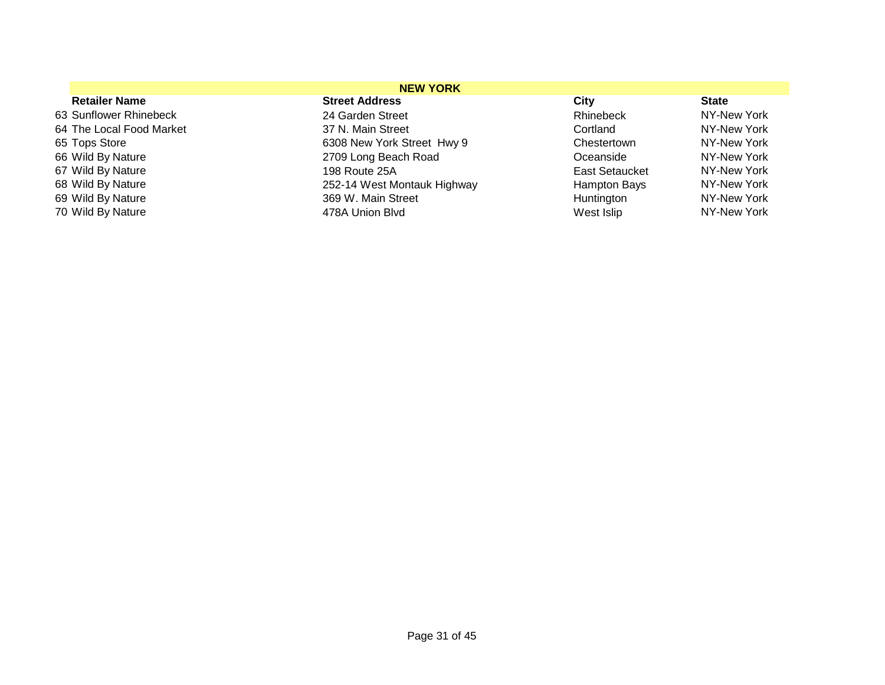|                          | <b>NEW YORK</b>             |                       |              |
|--------------------------|-----------------------------|-----------------------|--------------|
| <b>Retailer Name</b>     | <b>Street Address</b>       | City                  | <b>State</b> |
| 63 Sunflower Rhinebeck   | 24 Garden Street            | Rhinebeck             | NY-New York  |
| 64 The Local Food Market | 37 N. Main Street           | Cortland              | NY-New York  |
| 65 Tops Store            | 6308 New York Street Hwy 9  | Chestertown           | NY-New York  |
| 66 Wild By Nature        | 2709 Long Beach Road        | Oceanside             | NY-New York  |
| 67 Wild By Nature        | 198 Route 25A               | <b>East Setaucket</b> | NY-New York  |
| 68 Wild By Nature        | 252-14 West Montauk Highway | Hampton Bays          | NY-New York  |
| 69 Wild By Nature        | 369 W. Main Street          | Huntington            | NY-New York  |
| 70 Wild By Nature        | 478A Union Blyd             | West Islip            | NY-New York  |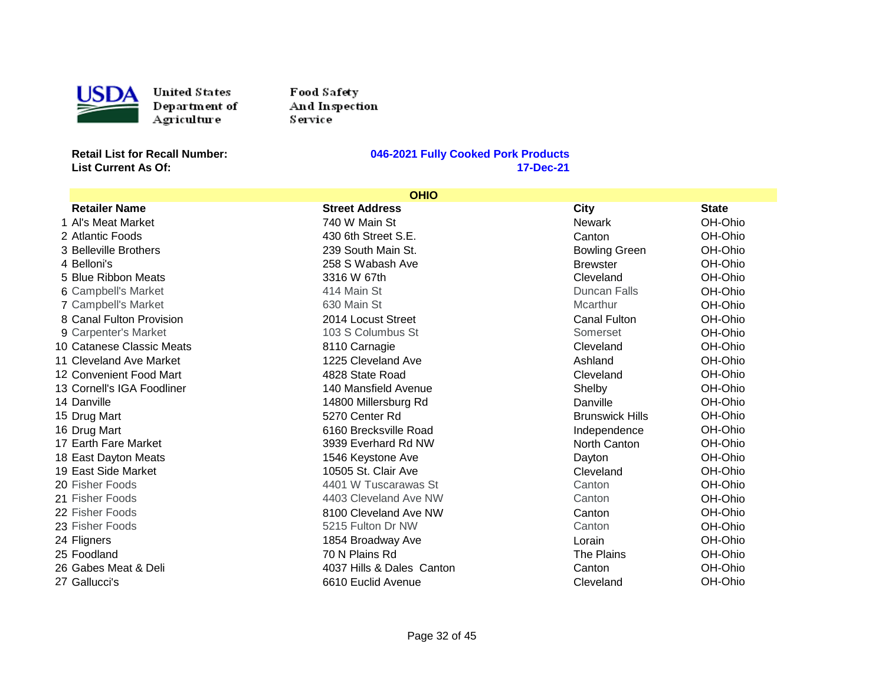

USDA United States<br>
Department of<br>
Agriculture<br>
Retail List for Recall Number: United States Department of Agriculture

Food Safety And Inspection Service<sup>1</sup>

**List Current As Of:** 

|                            | <b>OHIO</b>               |                        |              |
|----------------------------|---------------------------|------------------------|--------------|
| <b>Retailer Name</b>       | <b>Street Address</b>     | City                   | <b>State</b> |
| 1 Al's Meat Market         | 740 W Main St             | Newark                 | OH-Ohio      |
| 2 Atlantic Foods           | 430 6th Street S.E.       | Canton                 | OH-Ohio      |
| 3 Belleville Brothers      | 239 South Main St.        | <b>Bowling Green</b>   | OH-Ohio      |
| 4 Belloni's                | 258 S Wabash Ave          | <b>Brewster</b>        | OH-Ohio      |
| 5 Blue Ribbon Meats        | 3316 W 67th               | Cleveland              | OH-Ohio      |
| 6 Campbell's Market        | 414 Main St               | Duncan Falls           | OH-Ohio      |
| 7 Campbell's Market        | 630 Main St               | Mcarthur               | OH-Ohio      |
| 8 Canal Fulton Provision   | 2014 Locust Street        | Canal Fulton           | OH-Ohio      |
| 9 Carpenter's Market       | 103 S Columbus St         | Somerset               | OH-Ohio      |
| 10 Catanese Classic Meats  | 8110 Carnagie             | Cleveland              | OH-Ohio      |
| 11 Cleveland Ave Market    | 1225 Cleveland Ave        | Ashland                | OH-Ohio      |
| 12 Convenient Food Mart    | 4828 State Road           | Cleveland              | OH-Ohio      |
| 13 Cornell's IGA Foodliner | 140 Mansfield Avenue      | Shelby                 | OH-Ohio      |
| 14 Danville                | 14800 Millersburg Rd      | Danville               | OH-Ohio      |
| 15 Drug Mart               | 5270 Center Rd            | <b>Brunswick Hills</b> | OH-Ohio      |
| 16 Drug Mart               | 6160 Brecksville Road     | Independence           | OH-Ohio      |
| 17 Earth Fare Market       | 3939 Everhard Rd NW       | North Canton           | OH-Ohio      |
| 18 East Dayton Meats       | 1546 Keystone Ave         | Dayton                 | OH-Ohio      |
| 19 East Side Market        | 10505 St. Clair Ave       | Cleveland              | OH-Ohio      |
| 20 Fisher Foods            | 4401 W Tuscarawas St      | Canton                 | OH-Ohio      |
| 21 Fisher Foods            | 4403 Cleveland Ave NW     | Canton                 | OH-Ohio      |
| 22 Fisher Foods            | 8100 Cleveland Ave NW     | Canton                 | OH-Ohio      |
| 23 Fisher Foods            | 5215 Fulton Dr NW         | Canton                 | OH-Ohio      |
| 24 Fligners                | 1854 Broadway Ave         | Lorain                 | OH-Ohio      |
| 25 Foodland                | 70 N Plains Rd            | The Plains             | OH-Ohio      |
| 26 Gabes Meat & Deli       | 4037 Hills & Dales Canton | Canton                 | OH-Ohio      |
| 27 Gallucci's              | 6610 Euclid Avenue        | Cleveland              | OH-Ohio      |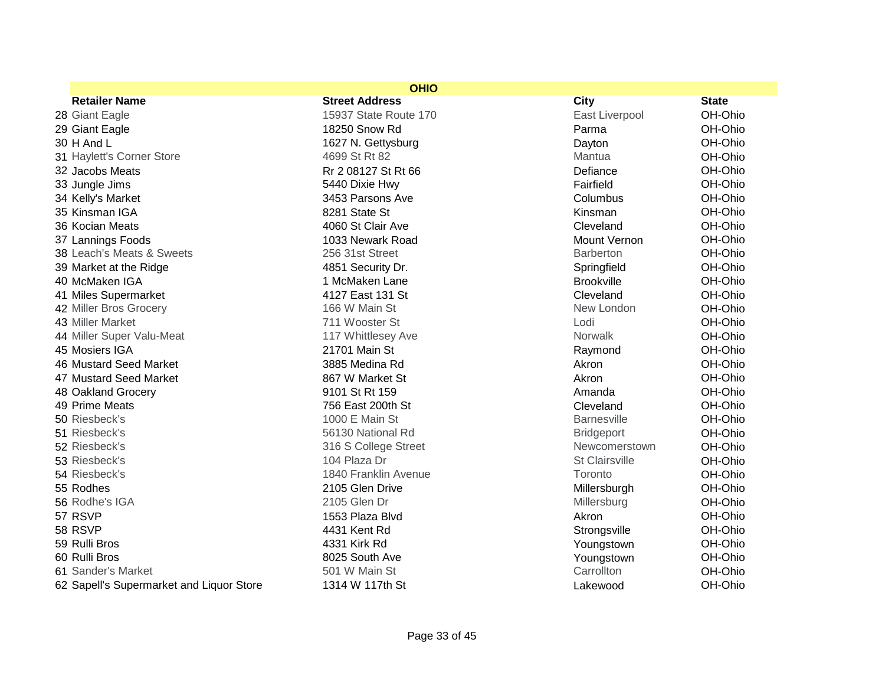|                                          | <b>OHIO</b>           |                     |              |
|------------------------------------------|-----------------------|---------------------|--------------|
| <b>Retailer Name</b>                     | <b>Street Address</b> | City                | <b>State</b> |
| 28 Giant Eagle                           | 15937 State Route 170 | East Liverpool      | OH-Ohio      |
| 29 Giant Eagle                           | 18250 Snow Rd         | Parma               | OH-Ohio      |
| 30 H And L                               | 1627 N. Gettysburg    | Dayton              | OH-Ohio      |
| 31 Haylett's Corner Store                | 4699 St Rt 82         | Mantua              | OH-Ohio      |
| 32 Jacobs Meats                          | Rr 2 08127 St Rt 66   | Defiance            | OH-Ohio      |
| 33 Jungle Jims                           | 5440 Dixie Hwy        | Fairfield           | OH-Ohio      |
| 34 Kelly's Market                        | 3453 Parsons Ave      | Columbus            | OH-Ohio      |
| 35 Kinsman IGA                           | 8281 State St         | Kinsman             | OH-Ohio      |
| 36 Kocian Meats                          | 4060 St Clair Ave     | Cleveland           | OH-Ohio      |
| 37 Lannings Foods                        | 1033 Newark Road      | <b>Mount Vernon</b> | OH-Ohio      |
| 38 Leach's Meats & Sweets                | 256 31st Street       | <b>Barberton</b>    | OH-Ohio      |
| 39 Market at the Ridge                   | 4851 Security Dr.     | Springfield         | OH-Ohio      |
| 40 McMaken IGA                           | 1 McMaken Lane        | <b>Brookville</b>   | OH-Ohio      |
| 41 Miles Supermarket                     | 4127 East 131 St      | Cleveland           | OH-Ohio      |
| 42 Miller Bros Grocery                   | 166 W Main St         | New London          | OH-Ohio      |
| 43 Miller Market                         | 711 Wooster St        | Lodi                | OH-Ohio      |
| 44 Miller Super Valu-Meat                | 117 Whittlesey Ave    | <b>Norwalk</b>      | OH-Ohio      |
| 45 Mosiers IGA                           | 21701 Main St         | Raymond             | OH-Ohio      |
| 46 Mustard Seed Market                   | 3885 Medina Rd        | Akron               | OH-Ohio      |
| 47 Mustard Seed Market                   | 867 W Market St       | Akron               | OH-Ohio      |
| 48 Oakland Grocery                       | 9101 St Rt 159        | Amanda              | OH-Ohio      |
| 49 Prime Meats                           | 756 East 200th St     | Cleveland           | OH-Ohio      |
| 50 Riesbeck's                            | 1000 E Main St        | <b>Barnesville</b>  | OH-Ohio      |
| 51 Riesbeck's                            | 56130 National Rd     | <b>Bridgeport</b>   | OH-Ohio      |
| 52 Riesbeck's                            | 316 S College Street  | Newcomerstown       | OH-Ohio      |
| 53 Riesbeck's                            | 104 Plaza Dr          | St Clairsville      | OH-Ohio      |
| 54 Riesbeck's                            | 1840 Franklin Avenue  | Toronto             | OH-Ohio      |
| 55 Rodhes                                | 2105 Glen Drive       | Millersburgh        | OH-Ohio      |
| 56 Rodhe's IGA                           | 2105 Glen Dr          | Millersburg         | OH-Ohio      |
| 57 RSVP                                  | 1553 Plaza Blvd       | Akron               | OH-Ohio      |
| 58 RSVP                                  | 4431 Kent Rd          | Strongsville        | OH-Ohio      |
| 59 Rulli Bros                            | 4331 Kirk Rd          | Youngstown          | OH-Ohio      |
| 60 Rulli Bros                            | 8025 South Ave        | Youngstown          | OH-Ohio      |
| 61 Sander's Market                       | 501 W Main St         | Carrollton          | OH-Ohio      |
| 62 Sapell's Supermarket and Liquor Store | 1314 W 117th St       | Lakewood            | OH-Ohio      |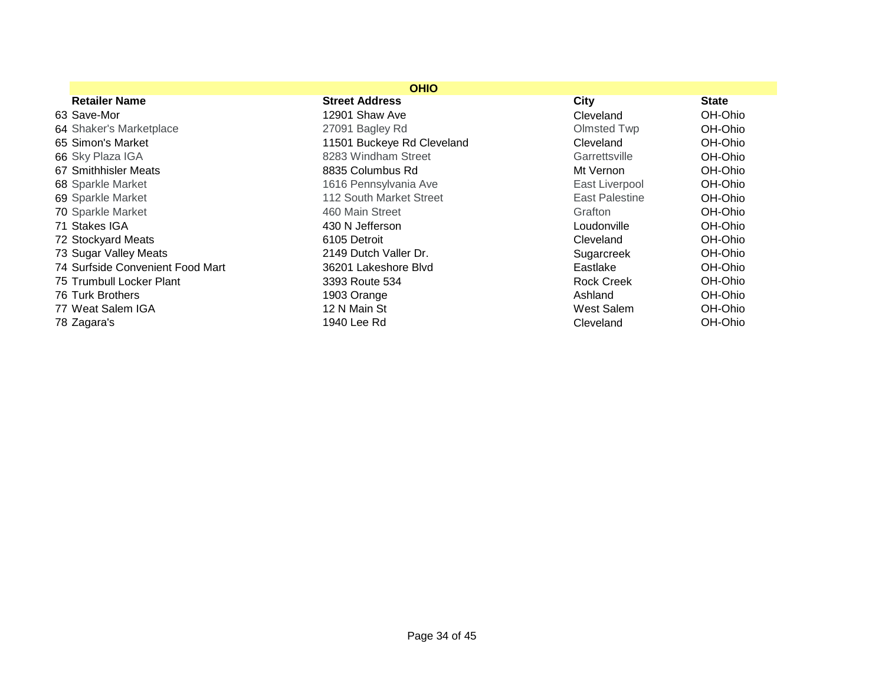|                                  | <b>OHIO</b>                |                       |              |
|----------------------------------|----------------------------|-----------------------|--------------|
| <b>Retailer Name</b>             | <b>Street Address</b>      | City                  | <b>State</b> |
| 63 Save-Mor                      | 12901 Shaw Ave             | Cleveland             | OH-Ohio      |
| 64 Shaker's Marketplace          | 27091 Bagley Rd            | Olmsted Twp           | OH-Ohio      |
| 65 Simon's Market                | 11501 Buckeye Rd Cleveland | Cleveland             | OH-Ohio      |
| 66 Sky Plaza IGA                 | 8283 Windham Street        | Garrettsville         | OH-Ohio      |
| 67 Smithhisler Meats             | 8835 Columbus Rd           | Mt Vernon             | OH-Ohio      |
| 68 Sparkle Market                | 1616 Pennsylvania Ave      | East Liverpool        | OH-Ohio      |
| 69 Sparkle Market                | 112 South Market Street    | <b>East Palestine</b> | OH-Ohio      |
| 70 Sparkle Market                | 460 Main Street            | Grafton               | OH-Ohio      |
| 71 Stakes IGA                    | 430 N Jefferson            | Loudonville           | OH-Ohio      |
| 72 Stockyard Meats               | 6105 Detroit               | Cleveland             | OH-Ohio      |
| 73 Sugar Valley Meats            | 2149 Dutch Valler Dr.      | Sugarcreek            | OH-Ohio      |
| 74 Surfside Convenient Food Mart | 36201 Lakeshore Blvd       | Eastlake              | OH-Ohio      |
| 75 Trumbull Locker Plant         | 3393 Route 534             | <b>Rock Creek</b>     | OH-Ohio      |
| 76 Turk Brothers                 | 1903 Orange                | Ashland               | OH-Ohio      |
| 77 Weat Salem IGA                | 12 N Main St               | West Salem            | OH-Ohio      |
| 78 Zagara's                      | 1940 Lee Rd                | Cleveland             | OH-Ohio      |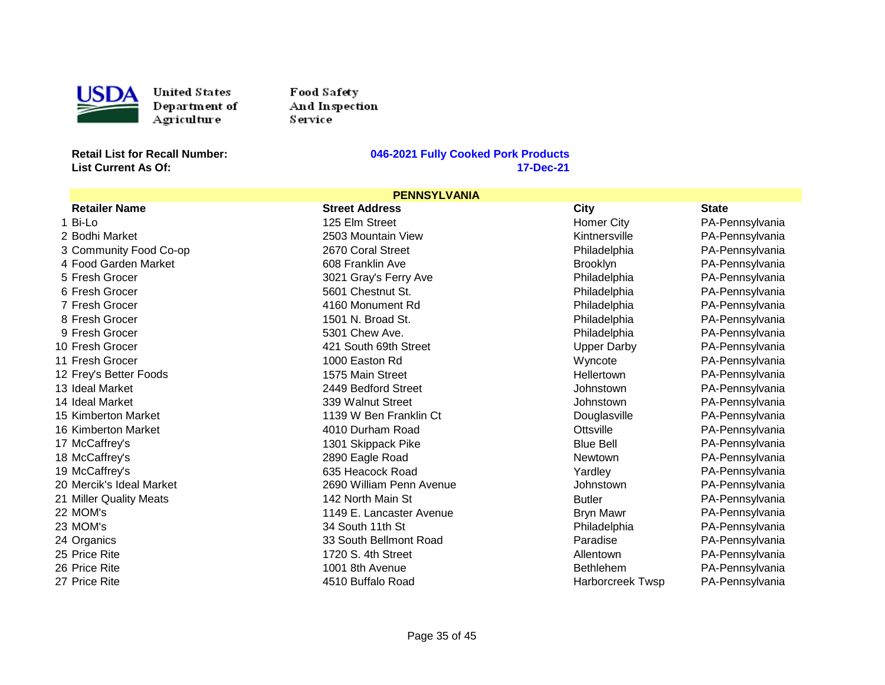

USDA United States<br>
Department of<br>
Agriculture<br>
Retail List for Recall Number: United States Department of Agriculture

Food Safety And Inspection Service<sup>1</sup>

**List Current As Of:** 

#### **Retailly Cooked Pork Products**<br>17-Dec-21

| <b>PENNSYLVANIA</b>      |                          |                         |                 |
|--------------------------|--------------------------|-------------------------|-----------------|
| <b>Retailer Name</b>     | <b>Street Address</b>    | City                    | <b>State</b>    |
| 1 Bi-Lo                  | 125 Elm Street           | <b>Homer City</b>       | PA-Pennsylvania |
| 2 Bodhi Market           | 2503 Mountain View       | Kintnersville           | PA-Pennsylvania |
| 3 Community Food Co-op   | 2670 Coral Street        | Philadelphia            | PA-Pennsylvania |
| 4 Food Garden Market     | 608 Franklin Ave         | <b>Brooklyn</b>         | PA-Pennsylvania |
| 5 Fresh Grocer           | 3021 Gray's Ferry Ave    | Philadelphia            | PA-Pennsylvania |
| 6 Fresh Grocer           | 5601 Chestnut St.        | Philadelphia            | PA-Pennsylvania |
| 7 Fresh Grocer           | 4160 Monument Rd         | Philadelphia            | PA-Pennsylvania |
| 8 Fresh Grocer           | 1501 N. Broad St.        | Philadelphia            | PA-Pennsylvania |
| 9 Fresh Grocer           | 5301 Chew Ave.           | Philadelphia            | PA-Pennsylvania |
| 10 Fresh Grocer          | 421 South 69th Street    | <b>Upper Darby</b>      | PA-Pennsylvania |
| 11 Fresh Grocer          | 1000 Easton Rd           | Wyncote                 | PA-Pennsylvania |
| 12 Frey's Better Foods   | 1575 Main Street         | Hellertown              | PA-Pennsylvania |
| 13 Ideal Market          | 2449 Bedford Street      | Johnstown               | PA-Pennsylvania |
| 14 Ideal Market          | 339 Walnut Street        | Johnstown               | PA-Pennsylvania |
| 15 Kimberton Market      | 1139 W Ben Franklin Ct   | Douglasville            | PA-Pennsylvania |
| 16 Kimberton Market      | 4010 Durham Road         | Ottsville               | PA-Pennsylvania |
| 17 McCaffrey's           | 1301 Skippack Pike       | <b>Blue Bell</b>        | PA-Pennsylvania |
| 18 McCaffrey's           | 2890 Eagle Road          | <b>Newtown</b>          | PA-Pennsylvania |
| 19 McCaffrey's           | 635 Heacock Road         | Yardley                 | PA-Pennsylvania |
| 20 Mercik's Ideal Market | 2690 William Penn Avenue | Johnstown               | PA-Pennsylvania |
| 21 Miller Quality Meats  | 142 North Main St        | <b>Butler</b>           | PA-Pennsylvania |
| 22 MOM's                 | 1149 E. Lancaster Avenue | <b>Bryn Mawr</b>        | PA-Pennsylvania |
| 23 MOM's                 | 34 South 11th St         | Philadelphia            | PA-Pennsylvania |
| 24 Organics              | 33 South Bellmont Road   | Paradise                | PA-Pennsylvania |
| 25 Price Rite            | 1720 S. 4th Street       | Allentown               | PA-Pennsylvania |
| 26 Price Rite            | 1001 8th Avenue          | <b>Bethlehem</b>        | PA-Pennsylvania |
| 27 Price Rite            | 4510 Buffalo Road        | <b>Harborcreek Twsp</b> | PA-Pennsylvania |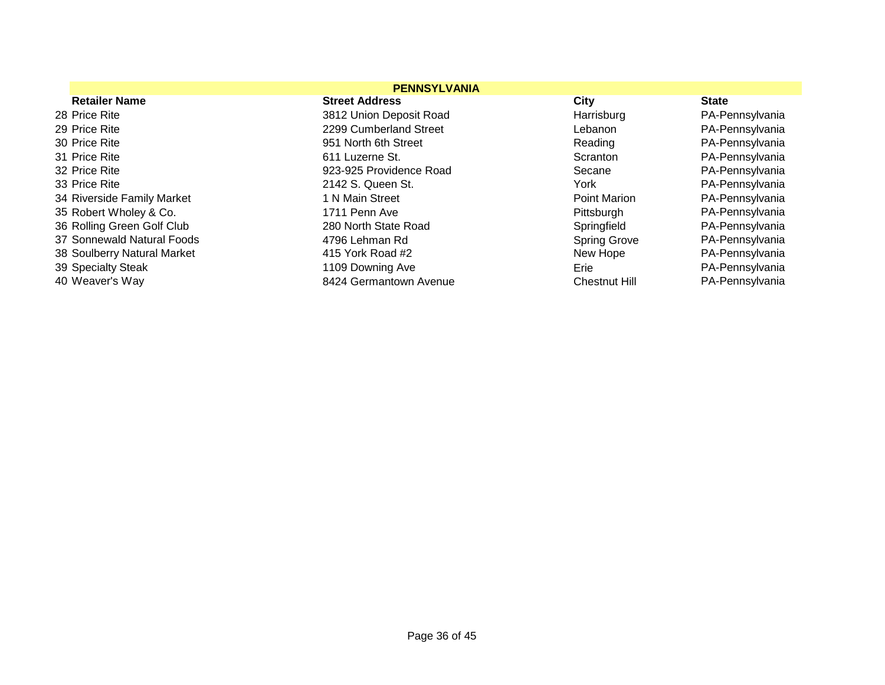|                             | <b>PENNSYLVANIA</b>     |                      |                 |
|-----------------------------|-------------------------|----------------------|-----------------|
| <b>Retailer Name</b>        | <b>Street Address</b>   | City                 | <b>State</b>    |
| 28 Price Rite               | 3812 Union Deposit Road | Harrisburg           | PA-Pennsylvania |
| 29 Price Rite               | 2299 Cumberland Street  | Lebanon              | PA-Pennsylvania |
| 30 Price Rite               | 951 North 6th Street    | Reading              | PA-Pennsylvania |
| 31 Price Rite               | 611 Luzerne St.         | Scranton             | PA-Pennsylvania |
| 32 Price Rite               | 923-925 Providence Road | Secane               | PA-Pennsylvania |
| 33 Price Rite               | 2142 S. Queen St.       | York                 | PA-Pennsylvania |
| 34 Riverside Family Market  | 1 N Main Street         | Point Marion         | PA-Pennsylvania |
| 35 Robert Wholey & Co.      | 1711 Penn Ave           | Pittsburgh           | PA-Pennsylvania |
| 36 Rolling Green Golf Club  | 280 North State Road    | Springfield          | PA-Pennsylvania |
| 37 Sonnewald Natural Foods  | 4796 Lehman Rd          | <b>Spring Grove</b>  | PA-Pennsylvania |
| 38 Soulberry Natural Market | 415 York Road #2        | New Hope             | PA-Pennsylvania |
| 39 Specialty Steak          | 1109 Downing Ave        | Erie                 | PA-Pennsylvania |
| 40 Weaver's Way             | 8424 Germantown Avenue  | <b>Chestnut Hill</b> | PA-Pennsylvania |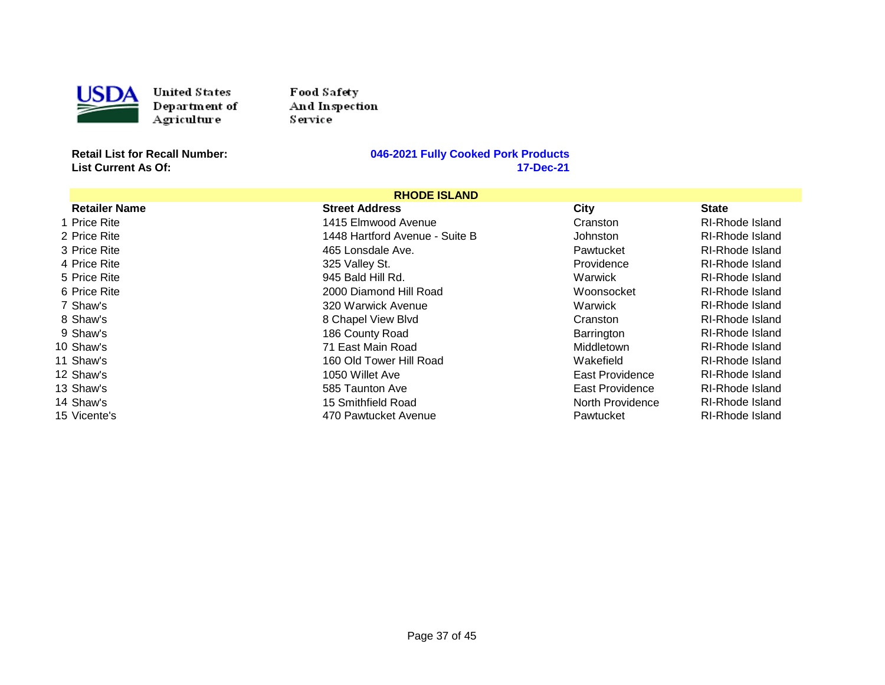

Food Sa fety And Inspection Service

**List Current As Of:** 

| <b>RHODE ISLAND</b>  |                                |                  |                        |
|----------------------|--------------------------------|------------------|------------------------|
| <b>Retailer Name</b> | <b>Street Address</b>          | City             | <b>State</b>           |
| 1 Price Rite         | 1415 Elmwood Avenue            | Cranston         | <b>RI-Rhode Island</b> |
| 2 Price Rite         | 1448 Hartford Avenue - Suite B | Johnston         | RI-Rhode Island        |
| 3 Price Rite         | 465 Lonsdale Ave.              | Pawtucket        | RI-Rhode Island        |
| 4 Price Rite         | 325 Valley St.                 | Providence       | RI-Rhode Island        |
| 5 Price Rite         | 945 Bald Hill Rd.              | Warwick          | <b>RI-Rhode Island</b> |
| 6 Price Rite         | 2000 Diamond Hill Road         | Woonsocket       | <b>RI-Rhode Island</b> |
| 7 Shaw's             | 320 Warwick Avenue             | Warwick          | RI-Rhode Island        |
| 8 Shaw's             | 8 Chapel View Blvd             | Cranston         | RI-Rhode Island        |
| 9 Shaw's             | 186 County Road                | Barrington       | <b>RI-Rhode Island</b> |
| 10 Shaw's            | 71 East Main Road              | Middletown       | RI-Rhode Island        |
| 11 Shaw's            | 160 Old Tower Hill Road        | Wakefield        | RI-Rhode Island        |
| 12 Shaw's            | 1050 Willet Ave                | East Providence  | <b>RI-Rhode Island</b> |
| 13 Shaw's            | 585 Taunton Ave                | East Providence  | <b>RI-Rhode Island</b> |
| 14 Shaw's            | 15 Smithfield Road             | North Providence | <b>RI-Rhode Island</b> |
| 15 Vicente's         | 470 Pawtucket Avenue           | Pawtucket        | RI-Rhode Island        |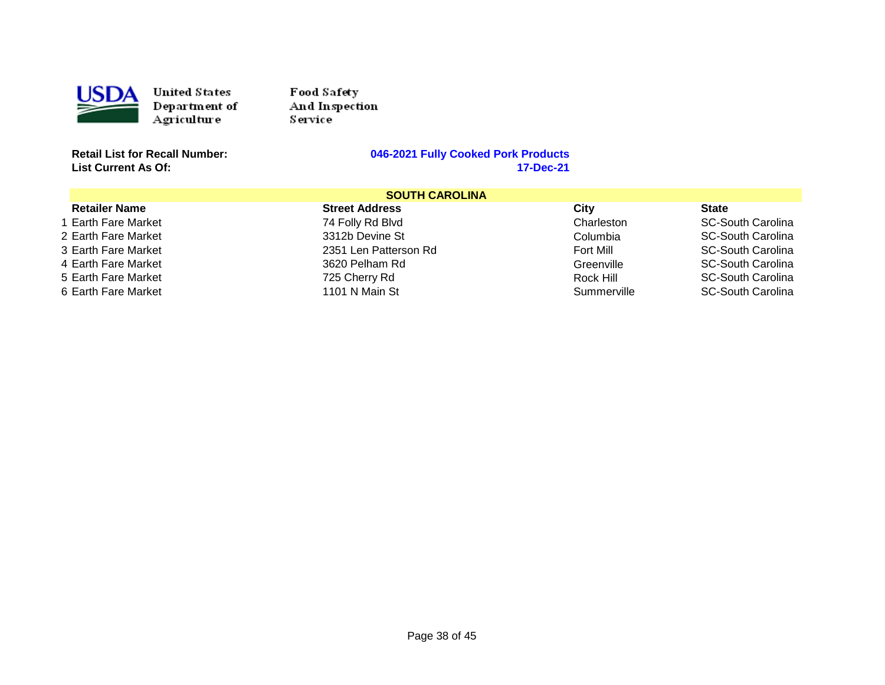

Food Sa fety And Inspection Service

**List Current As Of:** 

| <b>SOUTH CAROLINA</b> |                       |             |                          |
|-----------------------|-----------------------|-------------|--------------------------|
| <b>Retailer Name</b>  | <b>Street Address</b> | City        | <b>State</b>             |
| 1 Earth Fare Market   | 74 Folly Rd Blvd      | Charleston  | <b>SC-South Carolina</b> |
| 2 Earth Fare Market   | 3312b Devine St       | Columbia    | <b>SC-South Carolina</b> |
| 3 Earth Fare Market   | 2351 Len Patterson Rd | Fort Mill   | SC-South Carolina        |
| 4 Earth Fare Market   | 3620 Pelham Rd        | Greenville  | <b>SC-South Carolina</b> |
| 5 Earth Fare Market   | 725 Cherry Rd         | Rock Hill   | SC-South Carolina        |
| 6 Earth Fare Market   | 1101 N Main St        | Summerville | <b>SC-South Carolina</b> |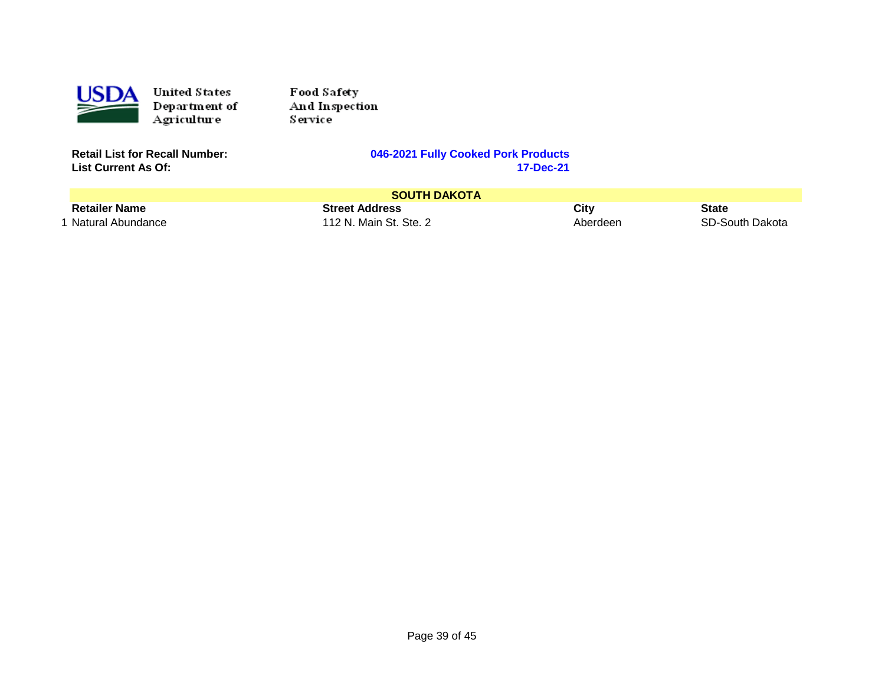

Food Sa fety And Inspection Service

**List Current As Of:** 

|                      | <b>SOUTH DAKOTA</b>    |          |                 |
|----------------------|------------------------|----------|-----------------|
| <b>Retailer Name</b> | <b>Street Address</b>  | City     | <b>State</b>    |
| 1 Natural Abundance  | 112 N. Main St. Ste. 2 | Aberdeer | SD-South Dakota |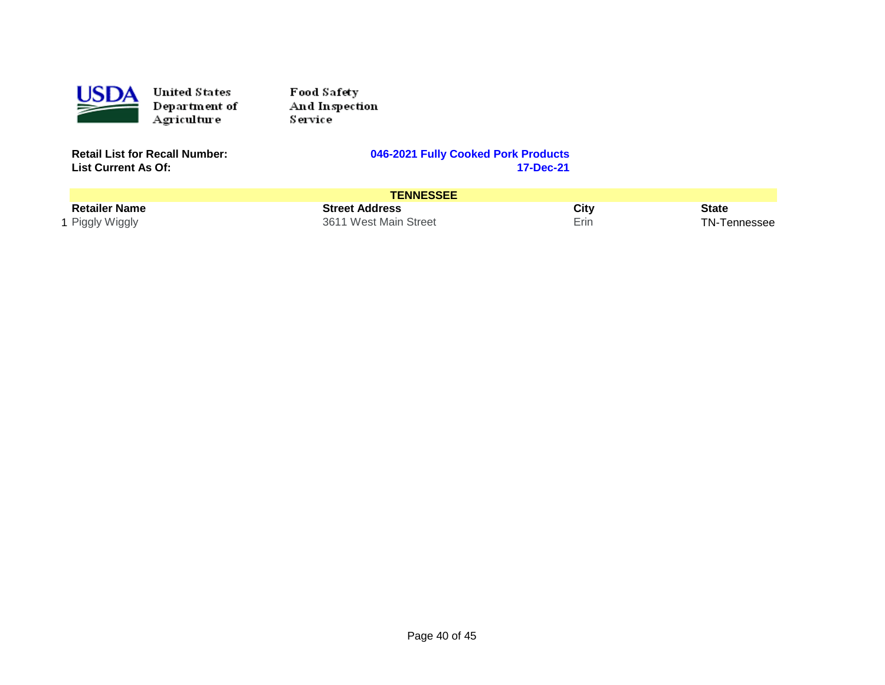

Food Safety And Inspection Service<sup>1</sup>

**List Current As Of:** 

#### **Retailly Cooked Pork Products**<br>17-Dec-21

| <b>TENNESSEE</b>     |                       |      |              |
|----------------------|-----------------------|------|--------------|
| <b>Retailer Name</b> | <b>Street Address</b> | City | <b>State</b> |
| 1 Piggly Wiggly      | 3611 West Main Street | Erin | TN-Tennessee |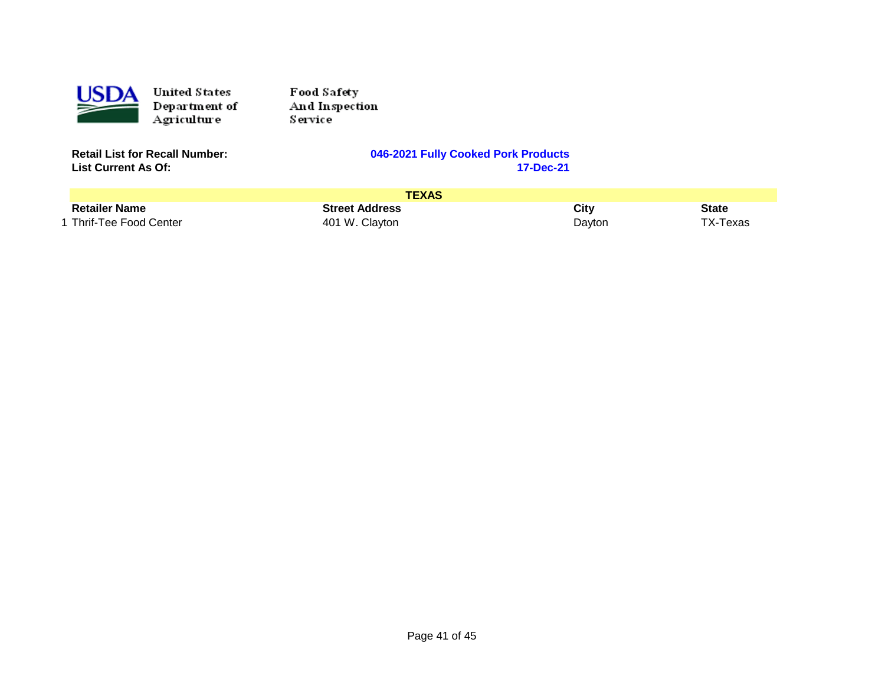

Food Sa fety And Inspection Service

**List Current As Of:** 

|                         | <b>TEXAS</b>          |        |          |
|-------------------------|-----------------------|--------|----------|
| <b>Retailer Name</b>    | <b>Street Address</b> | City   | State    |
| 1 Thrif-Tee Food Center | 401 W. Clayton        | Dayton | TX-Texas |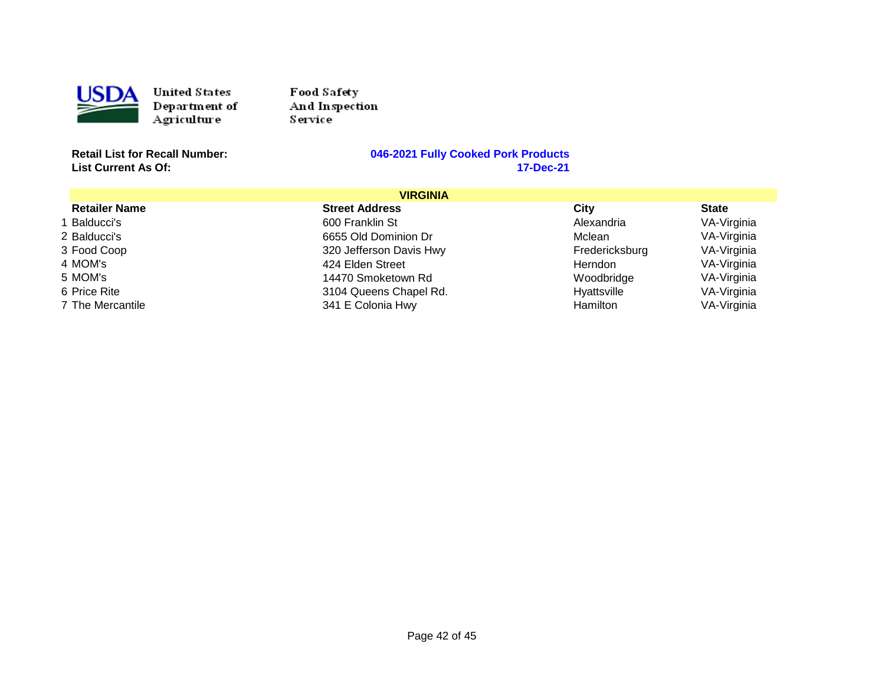

Food Sa fety And Inspection Service

**List Current As Of:** 

| <b>VIRGINIA</b>      |                         |                |              |
|----------------------|-------------------------|----------------|--------------|
| <b>Retailer Name</b> | <b>Street Address</b>   | City           | <b>State</b> |
| 1 Balducci's         | 600 Franklin St         | Alexandria     | VA-Virginia  |
| 2 Balducci's         | 6655 Old Dominion Dr    | Mclean         | VA-Virginia  |
| 3 Food Coop          | 320 Jefferson Davis Hwy | Fredericksburg | VA-Virginia  |
| 4 MOM's              | 424 Elden Street        | <b>Herndon</b> | VA-Virginia  |
| 5 MOM's              | 14470 Smoketown Rd      | Woodbridge     | VA-Virginia  |
| 6 Price Rite         | 3104 Queens Chapel Rd.  | Hyattsville    | VA-Virginia  |
| 7 The Mercantile     | 341 E Colonia Hwy       | Hamilton       | VA-Virginia  |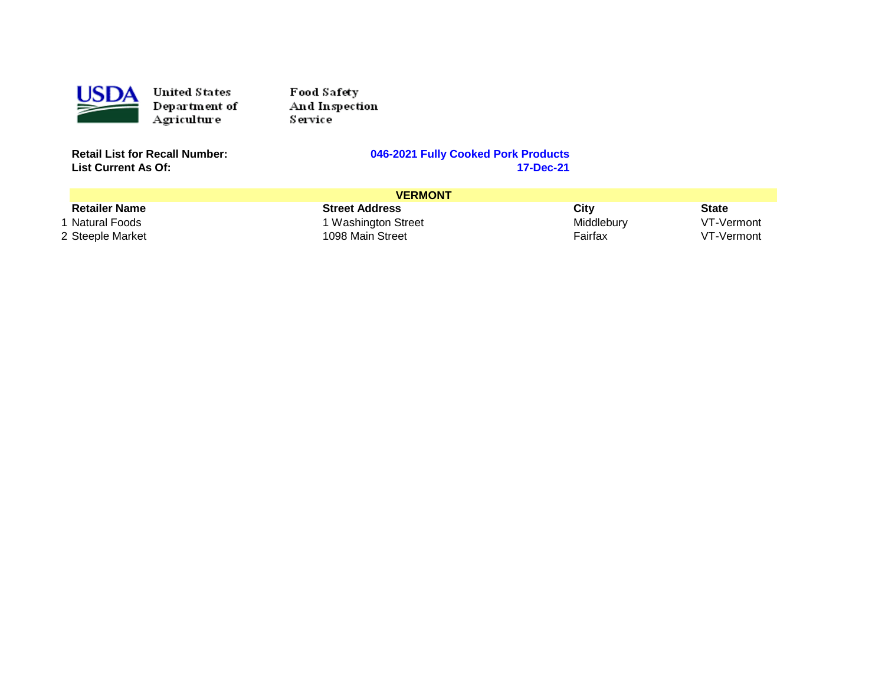

Food Safety And Inspection Service<sup>1</sup>

**List Current As Of:** 

#### **Retailly Cooked Pork Products**<br>17-Dec-21

| <b>VERMONT</b>       |                       |            |              |
|----------------------|-----------------------|------------|--------------|
| <b>Retailer Name</b> | <b>Street Address</b> | City       | <b>State</b> |
| Natural Foods        | 1 Washington Street   | Middlebury | VT-Vermont   |
| 2 Steeple Market     | 1098 Main Street      | Fairfax    | VT-Vermont   |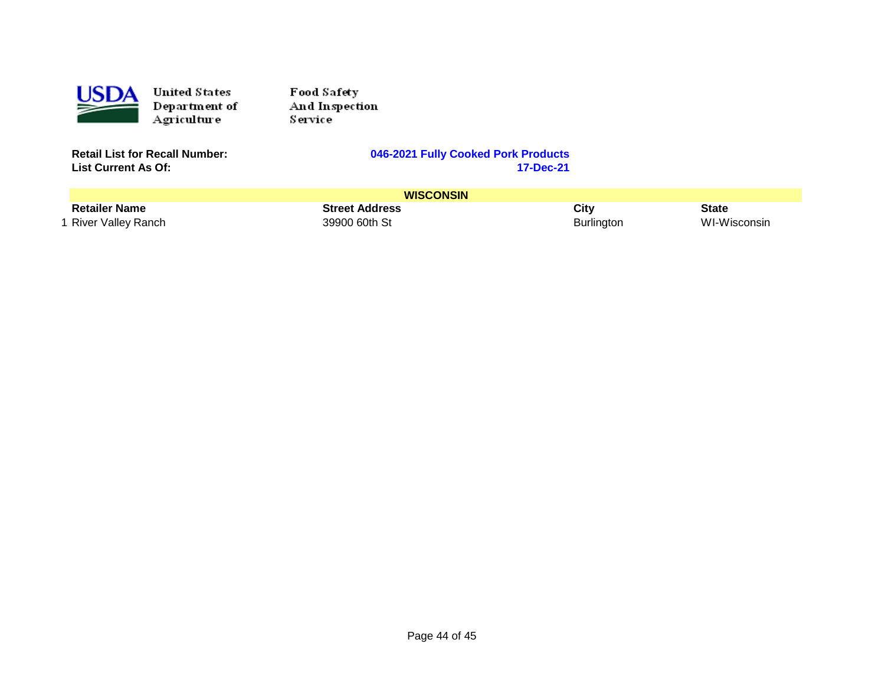

Food Safety And Inspection Service<sup>1</sup>

**List Current As Of:** 

|                      | <b>WISCONSIN</b>      |                   |              |
|----------------------|-----------------------|-------------------|--------------|
| <b>Retailer Name</b> | <b>Street Address</b> | City              | State        |
| 1 River Valley Ranch | 39900 60th St         | <b>Burlington</b> | WI-Wisconsin |